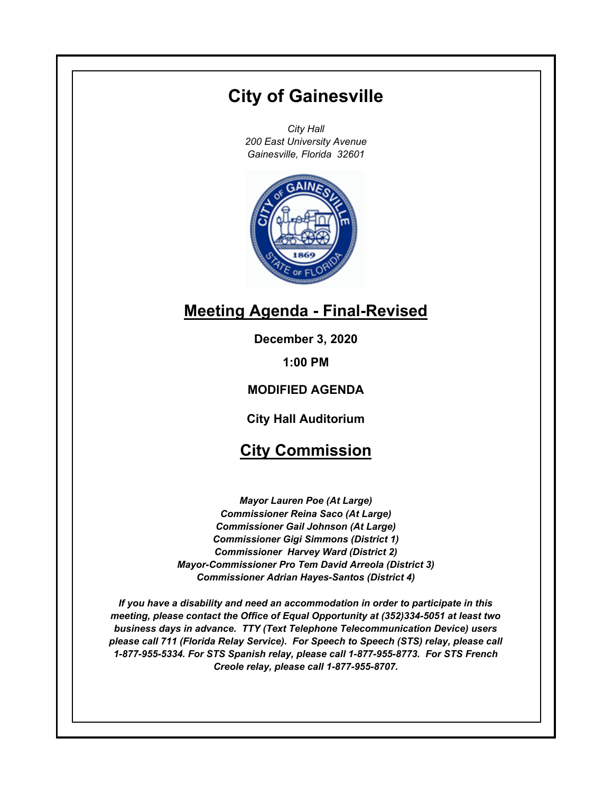# **City of Gainesville**

*City Hall 200 East University Avenue Gainesville, Florida 32601*



# **Meeting Agenda - Final-Revised**

**December 3, 2020**

**1:00 PM**

# **MODIFIED AGENDA**

**City Hall Auditorium**

# **City Commission**

*Mayor Lauren Poe (At Large) Commissioner Reina Saco (At Large) Commissioner Gail Johnson (At Large) Commissioner Gigi Simmons (District 1) Commissioner Harvey Ward (District 2) Mayor-Commissioner Pro Tem David Arreola (District 3) Commissioner Adrian Hayes-Santos (District 4)*

*If you have a disability and need an accommodation in order to participate in this meeting, please contact the Office of Equal Opportunity at (352)334-5051 at least two business days in advance. TTY (Text Telephone Telecommunication Device) users please call 711 (Florida Relay Service). For Speech to Speech (STS) relay, please call 1-877-955-5334. For STS Spanish relay, please call 1-877-955-8773. For STS French Creole relay, please call 1-877-955-8707.*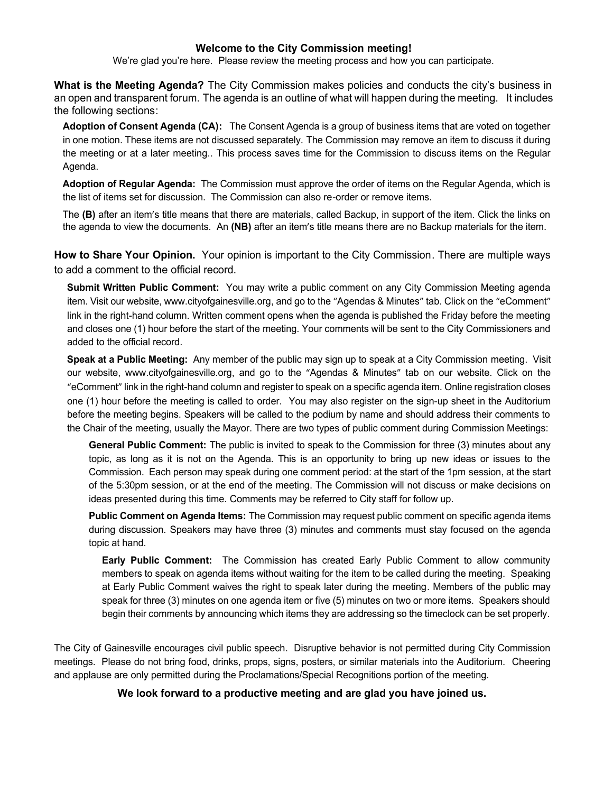### **Welcome to the City Commission meeting!**

We're glad you're here. Please review the meeting process and how you can participate.

**What is the Meeting Agenda?** The City Commission makes policies and conducts the city's business in an open and transparent forum. The agenda is an outline of what will happen during the meeting. It includes the following sections:

**Adoption of Consent Agenda (CA):** The Consent Agenda is a group of business items that are voted on together in one motion. These items are not discussed separately. The Commission may remove an item to discuss it during the meeting or at a later meeting.. This process saves time for the Commission to discuss items on the Regular Agenda.

**Adoption of Regular Agenda:** The Commission must approve the order of items on the Regular Agenda, which is the list of items set for discussion. The Commission can also re-order or remove items.

The **(B)** after an item's title means that there are materials, called Backup, in support of the item. Click the links on the agenda to view the documents. An **(NB)** after an item's title means there are no Backup materials for the item.

**How to Share Your Opinion.** Your opinion is important to the City Commission. There are multiple ways to add a comment to the official record.

**Submit Written Public Comment:** You may write a public comment on any City Commission Meeting agenda item. Visit our website, www.cityofgainesville.org, and go to the "Agendas & Minutes" tab. Click on the "eComment" link in the right-hand column. Written comment opens when the agenda is published the Friday before the meeting and closes one (1) hour before the start of the meeting. Your comments will be sent to the City Commissioners and added to the official record.

**Speak at a Public Meeting:** Any member of the public may sign up to speak at a City Commission meeting. Visit our website, www.cityofgainesville.org, and go to the "Agendas & Minutes" tab on our website. Click on the "eComment" link in the right-hand column and register to speak on a specific agenda item. Online registration closes one (1) hour before the meeting is called to order. You may also register on the sign-up sheet in the Auditorium before the meeting begins. Speakers will be called to the podium by name and should address their comments to the Chair of the meeting, usually the Mayor. There are two types of public comment during Commission Meetings:

**General Public Comment:** The public is invited to speak to the Commission for three (3) minutes about any topic, as long as it is not on the Agenda. This is an opportunity to bring up new ideas or issues to the Commission. Each person may speak during one comment period: at the start of the 1pm session, at the start of the 5:30pm session, or at the end of the meeting. The Commission will not discuss or make decisions on ideas presented during this time. Comments may be referred to City staff for follow up.

**Public Comment on Agenda Items:** The Commission may request public comment on specific agenda items during discussion. Speakers may have three (3) minutes and comments must stay focused on the agenda topic at hand.

**Early Public Comment:** The Commission has created Early Public Comment to allow community members to speak on agenda items without waiting for the item to be called during the meeting. Speaking at Early Public Comment waives the right to speak later during the meeting. Members of the public may speak for three (3) minutes on one agenda item or five (5) minutes on two or more items. Speakers should begin their comments by announcing which items they are addressing so the timeclock can be set properly.

The City of Gainesville encourages civil public speech. Disruptive behavior is not permitted during City Commission meetings. Please do not bring food, drinks, props, signs, posters, or similar materials into the Auditorium. Cheering and applause are only permitted during the Proclamations/Special Recognitions portion of the meeting.

**We look forward to a productive meeting and are glad you have joined us.**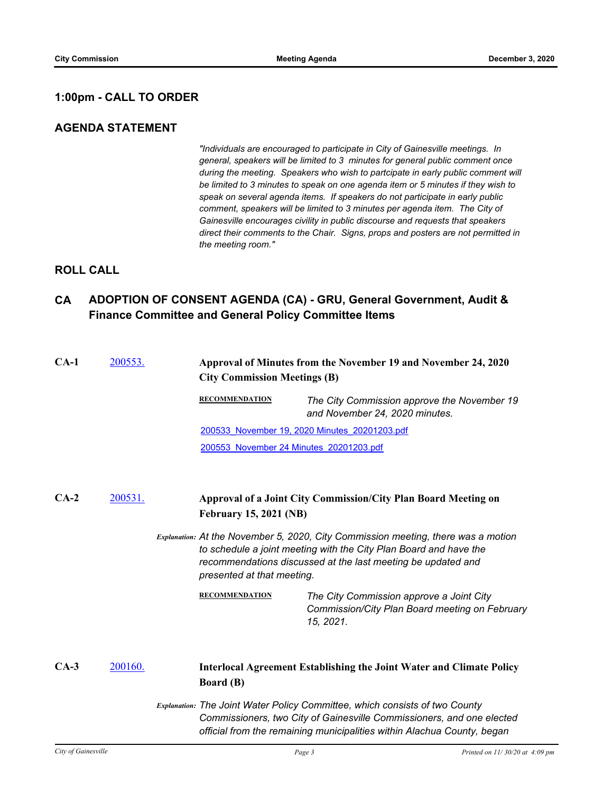# **1:00pm - CALL TO ORDER**

# **AGENDA STATEMENT**

*"Individuals are encouraged to participate in City of Gainesville meetings. In general, speakers will be limited to 3 minutes for general public comment once during the meeting. Speakers who wish to partcipate in early public comment will be limited to 3 minutes to speak on one agenda item or 5 minutes if they wish to speak on several agenda items. If speakers do not participate in early public comment, speakers will be limited to 3 minutes per agenda item. The City of Gainesville encourages civility in public discourse and requests that speakers direct their comments to the Chair. Signs, props and posters are not permitted in the meeting room."*

# **ROLL CALL**

# **CA ADOPTION OF CONSENT AGENDA (CA) - GRU, General Government, Audit & Finance Committee and General Policy Committee Items**

| $CA-1$ | 200553. | Approval of Minutes from the November 19 and November 24, 2020<br><b>City Commission Meetings (B)</b>                                                                                                                                                |                                                                                                                                                      |  |
|--------|---------|------------------------------------------------------------------------------------------------------------------------------------------------------------------------------------------------------------------------------------------------------|------------------------------------------------------------------------------------------------------------------------------------------------------|--|
|        |         | <b>RECOMMENDATION</b>                                                                                                                                                                                                                                | The City Commission approve the November 19<br>and November 24, 2020 minutes.                                                                        |  |
|        |         |                                                                                                                                                                                                                                                      | 200533 November 19, 2020 Minutes 20201203.pdf                                                                                                        |  |
|        |         | 200553 November 24 Minutes 20201203.pdf                                                                                                                                                                                                              |                                                                                                                                                      |  |
| $CA-2$ | 200531. | <b>February 15, 2021 (NB)</b>                                                                                                                                                                                                                        | Approval of a Joint City Commission/City Plan Board Meeting on                                                                                       |  |
|        |         | Explanation: At the November 5, 2020, City Commission meeting, there was a motion<br>to schedule a joint meeting with the City Plan Board and have the<br>recommendations discussed at the last meeting be updated and<br>presented at that meeting. |                                                                                                                                                      |  |
|        |         | <b>RECOMMENDATION</b>                                                                                                                                                                                                                                | The City Commission approve a Joint City<br>Commission/City Plan Board meeting on February<br>15, 2021.                                              |  |
| $CA-3$ | 200160. | <b>Board</b> (B)                                                                                                                                                                                                                                     | <b>Interlocal Agreement Establishing the Joint Water and Climate Policy</b>                                                                          |  |
|        |         |                                                                                                                                                                                                                                                      | Explanation: The Joint Water Policy Committee, which consists of two County<br>Commissioners, two City of Gainesville Commissioners, and one elected |  |

*official from the remaining municipalities within Alachua County, began*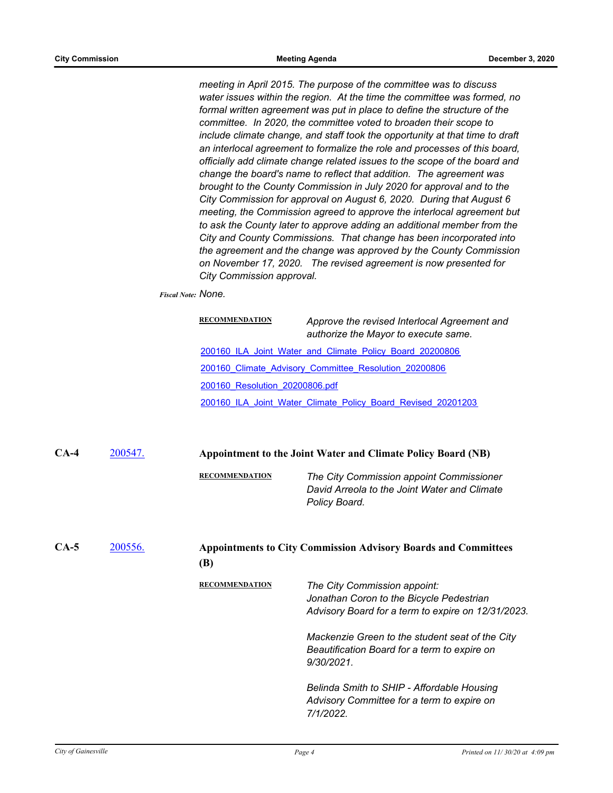*meeting in April 2015. The purpose of the committee was to discuss water issues within the region. At the time the committee was formed, no formal written agreement was put in place to define the structure of the committee. In 2020, the committee voted to broaden their scope to include climate change, and staff took the opportunity at that time to draft an interlocal agreement to formalize the role and processes of this board, officially add climate change related issues to the scope of the board and change the board's name to reflect that addition. The agreement was brought to the County Commission in July 2020 for approval and to the City Commission for approval on August 6, 2020. During that August 6 meeting, the Commission agreed to approve the interlocal agreement but to ask the County later to approve adding an additional member from the City and County Commissions. That change has been incorporated into the agreement and the change was approved by the County Commission on November 17, 2020. The revised agreement is now presented for City Commission approval.*

*Fiscal Note: None.*

| <b>RECOMMENDATION</b>          | Approve the revised Interlocal Agreement and<br>authorize the Mayor to execute same. |
|--------------------------------|--------------------------------------------------------------------------------------|
|                                | 200160 ILA Joint Water and Climate Policy Board 20200806                             |
|                                | 200160 Climate Advisory Committee Resolution 20200806                                |
| 200160 Resolution 20200806.pdf |                                                                                      |
|                                | 200160 ILA Joint Water Climate Policy Board Revised 20201203                         |

**CA-4** [200547.](http://gainesville.legistar.com/gateway.aspx?m=l&id=/matter.aspx?key=32090) **Appointment to the Joint Water and Climate Policy Board (NB)**

**RECOMMENDATION** *The City Commission appoint Commissioner David Arreola to the Joint Water and Climate Policy Board.*

| $CA-5$ | 200556. | <b>Appointments to City Commission Advisory Boards and Committees</b><br>(B) |                                                                                                                                                                                                                                                |  |
|--------|---------|------------------------------------------------------------------------------|------------------------------------------------------------------------------------------------------------------------------------------------------------------------------------------------------------------------------------------------|--|
|        |         | <b>RECOMMENDATION</b>                                                        | The City Commission appoint:<br>Jonathan Coron to the Bicycle Pedestrian<br>Advisory Board for a term to expire on 12/31/2023.<br>Mackenzie Green to the student seat of the City<br>Beautification Board for a term to expire on<br>9/30/2021 |  |
|        |         |                                                                              | Belinda Smith to SHIP - Affordable Housing<br>Advisory Committee for a term to expire on<br>7/1/2022.                                                                                                                                          |  |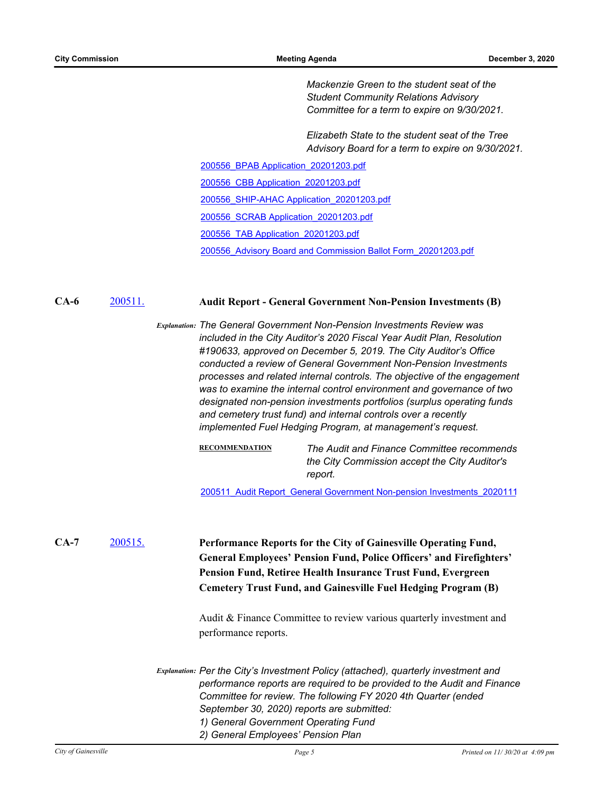*Mackenzie Green to the student seat of the Student Community Relations Advisory Committee for a term to expire on 9/30/2021.*

*Elizabeth State to the student seat of the Tree Advisory Board for a term to expire on 9/30/2021.*

[200556\\_BPAB Application\\_20201203.pdf](http://Gainesville.legistar.com/gateway.aspx?M=F&ID=7a9e65c3-40df-43a1-960f-937029324ae3.pdf)

[200556\\_CBB Application\\_20201203.pdf](http://Gainesville.legistar.com/gateway.aspx?M=F&ID=59236379-ec6b-424e-bf94-d32629d22520.pdf)

[200556\\_SHIP-AHAC Application\\_20201203.pdf](http://Gainesville.legistar.com/gateway.aspx?M=F&ID=9fa481f4-c806-486a-9487-40f902bd148d.pdf)

[200556\\_SCRAB Application\\_20201203.pdf](http://Gainesville.legistar.com/gateway.aspx?M=F&ID=ecc25225-35bc-4187-b8f4-a15b3d77cddb.pdf)

[200556\\_TAB Application\\_20201203.pdf](http://Gainesville.legistar.com/gateway.aspx?M=F&ID=8a4ebbc5-ae23-4c58-90fc-c9580e781332.pdf)

[200556\\_Advisory Board and Commission Ballot Form\\_20201203.pdf](http://Gainesville.legistar.com/gateway.aspx?M=F&ID=5bd09fff-c86e-48ea-a62b-5bf5773f1e3f.pdf)

### **CA-6** [200511.](http://gainesville.legistar.com/gateway.aspx?m=l&id=/matter.aspx?key=32054) **Audit Report - General Government Non-Pension Investments (B)**

*Explanation: The General Government Non-Pension Investments Review was included in the City Auditor's 2020 Fiscal Year Audit Plan, Resolution #190633, approved on December 5, 2019. The City Auditor's Office conducted a review of General Government Non-Pension Investments processes and related internal controls. The objective of the engagement was to examine the internal control environment and governance of two designated non-pension investments portfolios (surplus operating funds and cemetery trust fund) and internal controls over a recently implemented Fuel Hedging Program, at management's request.*

> **RECOMMENDATION** *The Audit and Finance Committee recommends the City Commission accept the City Auditor's report.*

> [200511\\_Audit Report\\_General Government Non-pension Investments\\_2020111](http://Gainesville.legistar.com/gateway.aspx?M=F&ID=d60c8e14-98e6-4dca-a6d7-176cb92422f4.pdf)

[200515.](http://gainesville.legistar.com/gateway.aspx?m=l&id=/matter.aspx?key=32058) **Performance Reports for the City of Gainesville Operating Fund, General Employees' Pension Fund, Police Officers' and Firefighters' Pension Fund, Retiree Health Insurance Trust Fund, Evergreen Cemetery Trust Fund, and Gainesville Fuel Hedging Program (B) CA-7**

> Audit & Finance Committee to review various quarterly investment and performance reports.

*Explanation: Per the City's Investment Policy (attached), quarterly investment and performance reports are required to be provided to the Audit and Finance Committee for review. The following FY 2020 4th Quarter (ended September 30, 2020) reports are submitted: 1) General Government Operating Fund 2) General Employees' Pension Plan*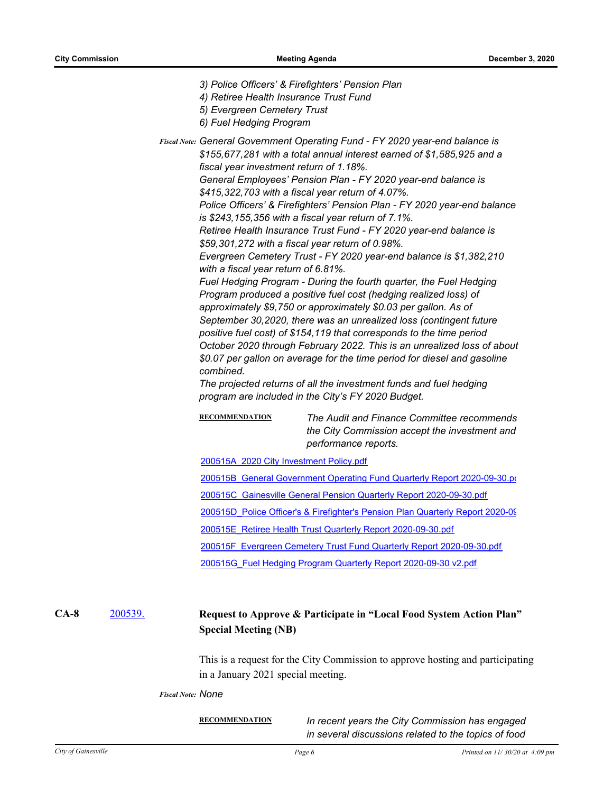*3) Police Officers' & Firefighters' Pension Plan*

- *4) Retiree Health Insurance Trust Fund*
- *5) Evergreen Cemetery Trust*
- *6) Fuel Hedging Program*

Fiscal Note: General Government Operating Fund - FY 2020 year-end balance is *\$155,677,281 with a total annual interest earned of \$1,585,925 and a fiscal year investment return of 1.18%. General Employees' Pension Plan - FY 2020 year-end balance is* 

*\$415,322,703 with a fiscal year return of 4.07%.* 

*Police Officers' & Firefighters' Pension Plan - FY 2020 year-end balance is \$243,155,356 with a fiscal year return of 7.1%.* 

*Retiree Health Insurance Trust Fund - FY 2020 year-end balance is \$59,301,272 with a fiscal year return of 0.98%.*

*Evergreen Cemetery Trust - FY 2020 year-end balance is \$1,382,210 with a fiscal year return of 6.81%.*

*Fuel Hedging Program - During the fourth quarter, the Fuel Hedging Program produced a positive fuel cost (hedging realized loss) of approximately \$9,750 or approximately \$0.03 per gallon. As of September 30,2020, there was an unrealized loss (contingent future positive fuel cost) of \$154,119 that corresponds to the time period October 2020 through February 2022. This is an unrealized loss of about \$0.07 per gallon on average for the time period for diesel and gasoline combined.*

*The projected returns of all the investment funds and fuel hedging program are included in the City's FY 2020 Budget.*

**RECOMMENDATION** *The Audit and Finance Committee recommends the City Commission accept the investment and performance reports.*

[200515A\\_2020 City Investment Policy.pdf](http://Gainesville.legistar.com/gateway.aspx?M=F&ID=255d4998-957d-4f2c-8f82-971d47a6ceb5.pdf)

200515B General Government Operating Fund Quarterly Report 2020-09-30.pd

[200515C\\_Gainesville General Pension Quarterly Report 2020-09-30.pdf](http://Gainesville.legistar.com/gateway.aspx?M=F&ID=bd45781a-d8d7-4f98-8ddf-7bceaaed647e.pdf)

200515D Police Officer's & Firefighter's Pension Plan Quarterly Report 2020-09

[200515E\\_Retiree Health Trust Quarterly Report 2020-09-30.pdf](http://Gainesville.legistar.com/gateway.aspx?M=F&ID=131f7052-d41c-4d0f-a91a-5c8953ccd319.pdf)

[200515F\\_Evergreen Cemetery Trust Fund Quarterly Report 2020-09-30.pdf](http://Gainesville.legistar.com/gateway.aspx?M=F&ID=c5c894da-d8ca-4edf-9640-8a33dbdcfe66.pdf)

[200515G\\_Fuel Hedging Program Quarterly Report 2020-09-30 v2.pdf](http://Gainesville.legistar.com/gateway.aspx?M=F&ID=36282ddf-b95a-4260-bb1b-84c4ca34d75b.pdf)

#### [200539.](http://gainesville.legistar.com/gateway.aspx?m=l&id=/matter.aspx?key=32082) **Request to Approve & Participate in "Local Food System Action Plan" Special Meeting (NB) CA-8**

This is a request for the City Commission to approve hosting and participating in a January 2021 special meeting.

*Fiscal Note: None*

**RECOMMENDATION** *In recent years the City Commission has engaged in several discussions related to the topics of food*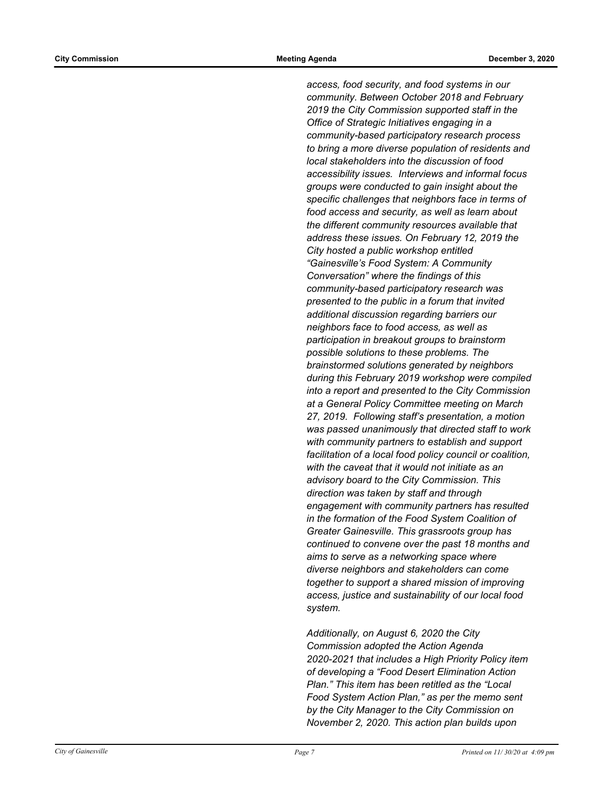*access, food security, and food systems in our community. Between October 2018 and February 2019 the City Commission supported staff in the Office of Strategic Initiatives engaging in a community-based participatory research process to bring a more diverse population of residents and local stakeholders into the discussion of food accessibility issues. Interviews and informal focus groups were conducted to gain insight about the specific challenges that neighbors face in terms of food access and security, as well as learn about the different community resources available that address these issues. On February 12, 2019 the City hosted a public workshop entitled "Gainesville's Food System: A Community Conversation" where the findings of this community-based participatory research was presented to the public in a forum that invited additional discussion regarding barriers our neighbors face to food access, as well as participation in breakout groups to brainstorm possible solutions to these problems. The brainstormed solutions generated by neighbors during this February 2019 workshop were compiled into a report and presented to the City Commission at a General Policy Committee meeting on March 27, 2019. Following staff's presentation, a motion was passed unanimously that directed staff to work with community partners to establish and support facilitation of a local food policy council or coalition, with the caveat that it would not initiate as an advisory board to the City Commission. This direction was taken by staff and through engagement with community partners has resulted in the formation of the Food System Coalition of Greater Gainesville. This grassroots group has continued to convene over the past 18 months and aims to serve as a networking space where diverse neighbors and stakeholders can come together to support a shared mission of improving access, justice and sustainability of our local food system.* 

*Additionally, on August 6, 2020 the City Commission adopted the Action Agenda 2020-2021 that includes a High Priority Policy item of developing a "Food Desert Elimination Action Plan." This item has been retitled as the "Local Food System Action Plan," as per the memo sent by the City Manager to the City Commission on November 2, 2020. This action plan builds upon*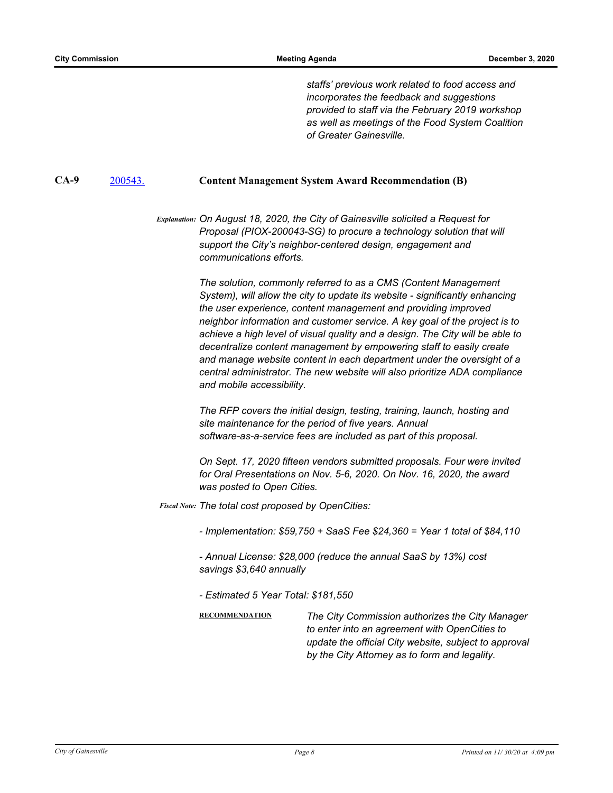*staffs' previous work related to food access and incorporates the feedback and suggestions provided to staff via the February 2019 workshop as well as meetings of the Food System Coalition of Greater Gainesville.*

### **CA-9** [200543.](http://gainesville.legistar.com/gateway.aspx?m=l&id=/matter.aspx?key=32086) **Content Management System Award Recommendation (B)**

*Explanation: On August 18, 2020, the City of Gainesville solicited a Request for Proposal (PIOX-200043-SG) to procure a technology solution that will support the City's neighbor-centered design, engagement and communications efforts.* 

> *The solution, commonly referred to as a CMS (Content Management System), will allow the city to update its website - significantly enhancing the user experience, content management and providing improved neighbor information and customer service. A key goal of the project is to achieve a high level of visual quality and a design. The City will be able to decentralize content management by empowering staff to easily create and manage website content in each department under the oversight of a central administrator. The new website will also prioritize ADA compliance and mobile accessibility.*

*The RFP covers the initial design, testing, training, launch, hosting and site maintenance for the period of five years. Annual software-as-a-service fees are included as part of this proposal.* 

*On Sept. 17, 2020 fifteen vendors submitted proposals. Four were invited for Oral Presentations on Nov. 5-6, 2020. On Nov. 16, 2020, the award was posted to Open Cities.*

*The total cost proposed by OpenCities: Fiscal Note:*

*- Implementation: \$59,750 + SaaS Fee \$24,360 = Year 1 total of \$84,110* 

*- Annual License: \$28,000 (reduce the annual SaaS by 13%) cost savings \$3,640 annually* 

*- Estimated 5 Year Total: \$181,550*

**RECOMMENDATION** *The City Commission authorizes the City Manager to enter into an agreement with OpenCities to update the official City website, subject to approval by the City Attorney as to form and legality.*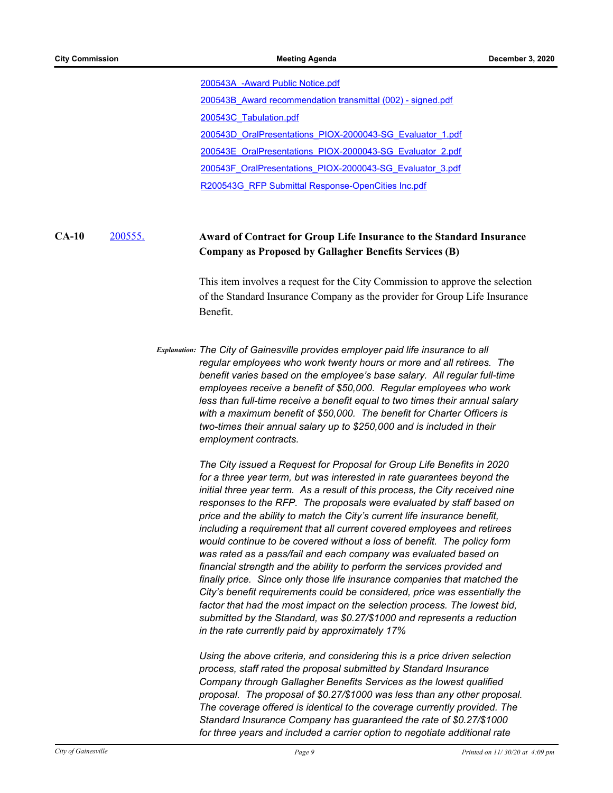[200543A\\_-Award Public Notice.pdf](http://Gainesville.legistar.com/gateway.aspx?M=F&ID=415ab00e-e26d-4f45-aaff-08df47883bef.pdf)

[200543B\\_Award recommendation transmittal \(002\) - signed.pdf](http://Gainesville.legistar.com/gateway.aspx?M=F&ID=de2878c0-7799-4421-b520-3710d4c9b6b9.pdf)

[200543C\\_Tabulation.pdf](http://Gainesville.legistar.com/gateway.aspx?M=F&ID=c91ac30d-d853-451f-94f1-d0ba02db9330.pdf)

[200543D\\_OralPresentations\\_PIOX-2000043-SG\\_Evaluator\\_1.pdf](http://Gainesville.legistar.com/gateway.aspx?M=F&ID=d86b4a1c-ee05-45d9-9811-b2f37795b9e0.pdf)

[200543E\\_OralPresentations\\_PIOX-2000043-SG\\_Evaluator\\_2.pdf](http://Gainesville.legistar.com/gateway.aspx?M=F&ID=e7141746-ae30-454d-8281-2a8f697f61ea.pdf)

[200543F\\_OralPresentations\\_PIOX-2000043-SG\\_Evaluator\\_3.pdf](http://Gainesville.legistar.com/gateway.aspx?M=F&ID=66254f40-cd4b-4b04-be80-066c4ea668c1.pdf)

[R200543G\\_RFP Submittal Response-OpenCities Inc.pdf](http://Gainesville.legistar.com/gateway.aspx?M=F&ID=98505661-66f0-46ee-8fff-a2c2ce024fa3.pdf)

#### [200555.](http://gainesville.legistar.com/gateway.aspx?m=l&id=/matter.aspx?key=32098) **Award of Contract for Group Life Insurance to the Standard Insurance Company as Proposed by Gallagher Benefits Services (B) CA-10**

This item involves a request for the City Commission to approve the selection of the Standard Insurance Company as the provider for Group Life Insurance Benefit.

*Explanation: The City of Gainesville provides employer paid life insurance to all regular employees who work twenty hours or more and all retirees. The benefit varies based on the employee's base salary. All regular full-time employees receive a benefit of \$50,000. Regular employees who work less than full-time receive a benefit equal to two times their annual salary with a maximum benefit of \$50,000. The benefit for Charter Officers is two-times their annual salary up to \$250,000 and is included in their employment contracts.*

> *The City issued a Request for Proposal for Group Life Benefits in 2020 for a three year term, but was interested in rate guarantees beyond the initial three year term. As a result of this process, the City received nine responses to the RFP. The proposals were evaluated by staff based on price and the ability to match the City's current life insurance benefit, including a requirement that all current covered employees and retirees would continue to be covered without a loss of benefit. The policy form was rated as a pass/fail and each company was evaluated based on financial strength and the ability to perform the services provided and finally price. Since only those life insurance companies that matched the City's benefit requirements could be considered, price was essentially the*  factor that had the most impact on the selection process. The lowest bid, *submitted by the Standard, was \$0.27/\$1000 and represents a reduction in the rate currently paid by approximately 17%*

> *Using the above criteria, and considering this is a price driven selection process, staff rated the proposal submitted by Standard Insurance Company through Gallagher Benefits Services as the lowest qualified proposal. The proposal of \$0.27/\$1000 was less than any other proposal. The coverage offered is identical to the coverage currently provided. The Standard Insurance Company has guaranteed the rate of \$0.27/\$1000 for three years and included a carrier option to negotiate additional rate*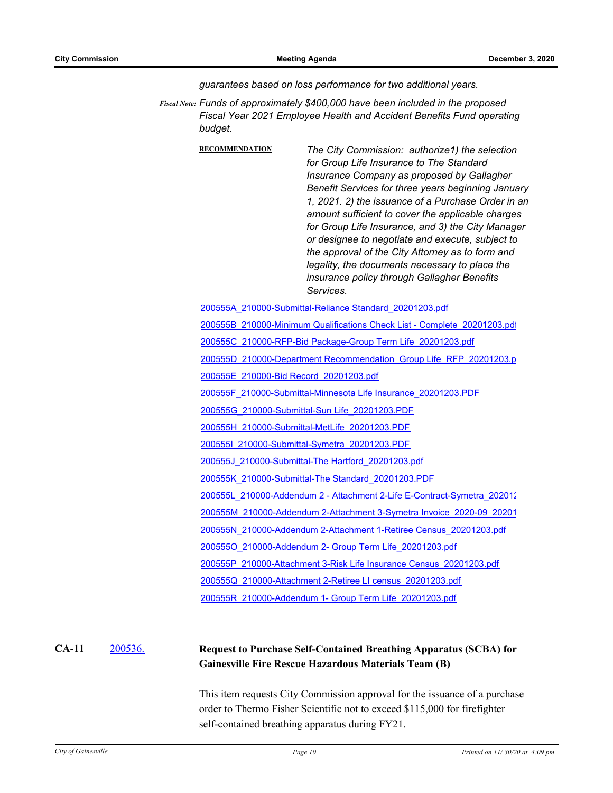*guarantees based on loss performance for two additional years.*

Fiscal Note: Funds of approximately \$400,000 have been included in the proposed *Fiscal Year 2021 Employee Health and Accident Benefits Fund operating budget.*

> **RECOMMENDATION** *The City Commission: authorize1) the selection for Group Life Insurance to The Standard Insurance Company as proposed by Gallagher Benefit Services for three years beginning January 1, 2021. 2) the issuance of a Purchase Order in an amount sufficient to cover the applicable charges for Group Life Insurance, and 3) the City Manager or designee to negotiate and execute, subject to the approval of the City Attorney as to form and legality, the documents necessary to place the insurance policy through Gallagher Benefits Services.*

[200555A\\_210000-Submittal-Reliance Standard\\_20201203.pdf](http://Gainesville.legistar.com/gateway.aspx?M=F&ID=74283e44-57e2-4f04-9033-4a85060a4299.pdf)

[200555B\\_210000-Minimum Qualifications Check List - Complete\\_20201203.pdf](http://Gainesville.legistar.com/gateway.aspx?M=F&ID=d1b90339-ec94-41fa-986a-6d6573c7c588.pdf)

[200555C\\_210000-RFP-Bid Package-Group Term Life\\_20201203.pdf](http://Gainesville.legistar.com/gateway.aspx?M=F&ID=298155cf-db44-4138-ba16-546fbc377e9f.pdf)

[200555D\\_210000-Department Recommendation\\_Group Life\\_RFP\\_20201203.p](http://Gainesville.legistar.com/gateway.aspx?M=F&ID=c6c737a4-e341-456b-a1df-b3c298294765.pdf)

[200555E\\_210000-Bid Record\\_20201203.pdf](http://Gainesville.legistar.com/gateway.aspx?M=F&ID=67a525f0-0dac-422d-ba99-33b056de9105.pdf)

[200555F\\_210000-Submittal-Minnesota Life Insurance\\_20201203.PDF](http://Gainesville.legistar.com/gateway.aspx?M=F&ID=3dbf296c-8ed5-4900-b24a-4e772f29e050.PDF)

[200555G\\_210000-Submittal-Sun Life\\_20201203.PDF](http://Gainesville.legistar.com/gateway.aspx?M=F&ID=f69d192f-7192-410e-aa9b-0bc82ad829c4.PDF)

[200555H\\_210000-Submittal-MetLife\\_20201203.PDF](http://Gainesville.legistar.com/gateway.aspx?M=F&ID=8ad3c790-8991-4ca3-b515-8a664c3b9238.PDF)

[200555I\\_210000-Submittal-Symetra\\_20201203.PDF](http://Gainesville.legistar.com/gateway.aspx?M=F&ID=0ee4091b-dadf-4833-96a5-ec0fa6b4f6f9.PDF)

[200555J\\_210000-Submittal-The Hartford\\_20201203.pdf](http://Gainesville.legistar.com/gateway.aspx?M=F&ID=ecf39ded-6f73-4377-9e73-74c22f737e0a.pdf)

[200555K\\_210000-Submittal-The Standard\\_20201203.PDF](http://Gainesville.legistar.com/gateway.aspx?M=F&ID=e5a4a930-c1f4-4bee-adf3-41ae28d08dc1.PDF)

[200555L\\_210000-Addendum 2 - Attachment 2-Life E-Contract-Symetra\\_202012](http://Gainesville.legistar.com/gateway.aspx?M=F&ID=a0ca9684-3935-4c8d-b1a8-b10c20b1b6f7.pdf)

[200555M\\_210000-Addendum 2-Attachment 3-Symetra Invoice\\_2020-09\\_20201](http://Gainesville.legistar.com/gateway.aspx?M=F&ID=138651fc-5b7d-4ad0-b7ae-997d6aeab313.pdf)

[200555N\\_210000-Addendum 2-Attachment 1-Retiree Census\\_20201203.pdf](http://Gainesville.legistar.com/gateway.aspx?M=F&ID=ae7057f7-8500-40f0-8021-0d716e5014bc.pdf)

[200555O\\_210000-Addendum 2- Group Term Life\\_20201203.pdf](http://Gainesville.legistar.com/gateway.aspx?M=F&ID=8cf27c4f-f4db-4158-a312-bc63c873b850.pdf)

[200555P\\_210000-Attachment 3-Risk Life Insurance Census\\_20201203.pdf](http://Gainesville.legistar.com/gateway.aspx?M=F&ID=dad813b1-5604-49a9-b62b-d05ed6033b95.pdf)

[200555Q\\_210000-Attachment 2-Retiree LI census\\_20201203.pdf](http://Gainesville.legistar.com/gateway.aspx?M=F&ID=a95d481a-0ca9-4541-9b21-37eea1cd5bde.pdf)

[200555R\\_210000-Addendum 1- Group Term Life\\_20201203.pdf](http://Gainesville.legistar.com/gateway.aspx?M=F&ID=2f5d81c5-4aef-41b8-b4bb-edc3bf7c7a68.pdf)

#### [200536.](http://gainesville.legistar.com/gateway.aspx?m=l&id=/matter.aspx?key=32079) **Request to Purchase Self-Contained Breathing Apparatus (SCBA) for Gainesville Fire Rescue Hazardous Materials Team (B) CA-11**

This item requests City Commission approval for the issuance of a purchase order to Thermo Fisher Scientific not to exceed \$115,000 for firefighter self-contained breathing apparatus during FY21.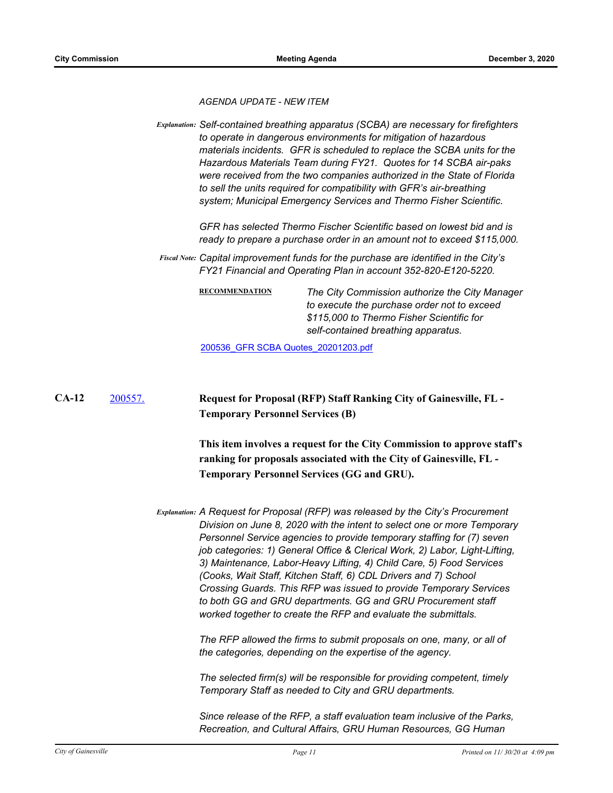*AGENDA UPDATE - NEW ITEM*

*Explanation: Self-contained breathing apparatus (SCBA) are necessary for firefighters to operate in dangerous environments for mitigation of hazardous materials incidents. GFR is scheduled to replace the SCBA units for the Hazardous Materials Team during FY21. Quotes for 14 SCBA air-paks were received from the two companies authorized in the State of Florida to sell the units required for compatibility with GFR's air-breathing system; Municipal Emergency Services and Thermo Fisher Scientific.* 

> *GFR has selected Thermo Fischer Scientific based on lowest bid and is ready to prepare a purchase order in an amount not to exceed \$115,000.*

*Capital improvement funds for the purchase are identified in the City's Fiscal Note: FY21 Financial and Operating Plan in account 352-820-E120-5220.*

> **RECOMMENDATION** *The City Commission authorize the City Manager to execute the purchase order not to exceed \$115,000 to Thermo Fisher Scientific for self-contained breathing apparatus.*

[200536\\_GFR SCBA Quotes\\_20201203.pdf](http://Gainesville.legistar.com/gateway.aspx?M=F&ID=e2119b58-0ddb-4904-b695-dfdaa27c3df1.pdf)

[200557.](http://gainesville.legistar.com/gateway.aspx?m=l&id=/matter.aspx?key=32100) **Request for Proposal (RFP) Staff Ranking City of Gainesville, FL - Temporary Personnel Services (B) CA-12**

> **This item involves a request for the City Commission to approve staff's ranking for proposals associated with the City of Gainesville, FL - Temporary Personnel Services (GG and GRU).**

*Explanation: A Request for Proposal (RFP) was released by the City's Procurement Division on June 8, 2020 with the intent to select one or more Temporary Personnel Service agencies to provide temporary staffing for (7) seven job categories: 1) General Office & Clerical Work, 2) Labor, Light-Lifting, 3) Maintenance, Labor-Heavy Lifting, 4) Child Care, 5) Food Services (Cooks, Wait Staff, Kitchen Staff, 6) CDL Drivers and 7) School Crossing Guards. This RFP was issued to provide Temporary Services to both GG and GRU departments. GG and GRU Procurement staff worked together to create the RFP and evaluate the submittals.* 

> *The RFP allowed the firms to submit proposals on one, many, or all of the categories, depending on the expertise of the agency.*

> *The selected firm(s) will be responsible for providing competent, timely Temporary Staff as needed to City and GRU departments.*

*Since release of the RFP, a staff evaluation team inclusive of the Parks, Recreation, and Cultural Affairs, GRU Human Resources, GG Human*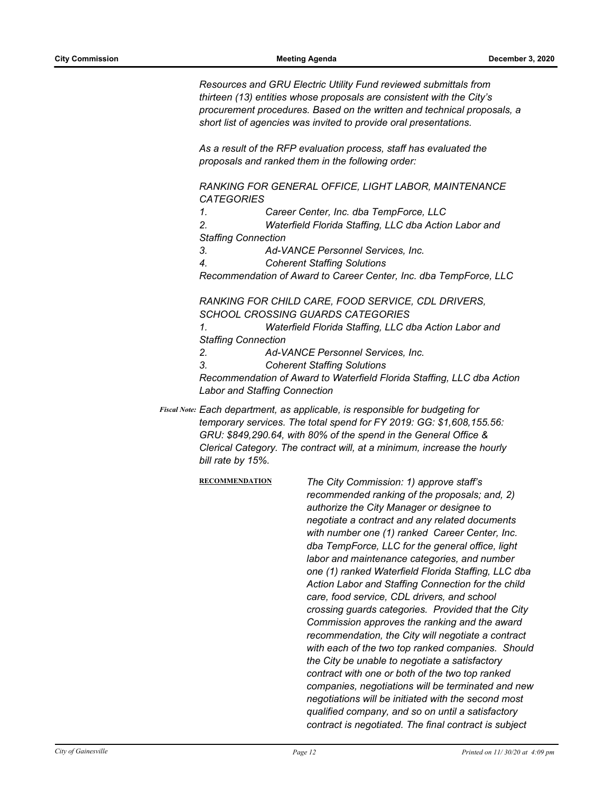*Resources and GRU Electric Utility Fund reviewed submittals from thirteen (13) entities whose proposals are consistent with the City's procurement procedures. Based on the written and technical proposals, a short list of agencies was invited to provide oral presentations.*

*As a result of the RFP evaluation process, staff has evaluated the proposals and ranked them in the following order:*

*RANKING FOR GENERAL OFFICE, LIGHT LABOR, MAINTENANCE CATEGORIES*

*1. Career Center, Inc. dba TempForce, LLC*

*2. Waterfield Florida Staffing, LLC dba Action Labor and Staffing Connection*

*3. Ad-VANCE Personnel Services, Inc.*

*4. Coherent Staffing Solutions*

*Recommendation of Award to Career Center, Inc. dba TempForce, LLC* 

*RANKING FOR CHILD CARE, FOOD SERVICE, CDL DRIVERS, SCHOOL CROSSING GUARDS CATEGORIES*

*1. Waterfield Florida Staffing, LLC dba Action Labor and Staffing Connection* 

*2. Ad-VANCE Personnel Services, Inc.*

*3. Coherent Staffing Solutions*

*Recommendation of Award to Waterfield Florida Staffing, LLC dba Action Labor and Staffing Connection*

Fiscal Note: Each department, as applicable, is responsible for budgeting for *temporary services. The total spend for FY 2019: GG: \$1,608,155.56: GRU: \$849,290.64, with 80% of the spend in the General Office & Clerical Category. The contract will, at a minimum, increase the hourly bill rate by 15%.*

> **RECOMMENDATION** *The City Commission: 1) approve staff's recommended ranking of the proposals; and, 2) authorize the City Manager or designee to negotiate a contract and any related documents with number one (1) ranked Career Center, Inc. dba TempForce, LLC for the general office, light labor and maintenance categories, and number one (1) ranked Waterfield Florida Staffing, LLC dba Action Labor and Staffing Connection for the child care, food service, CDL drivers, and school crossing guards categories. Provided that the City Commission approves the ranking and the award recommendation, the City will negotiate a contract with each of the two top ranked companies. Should the City be unable to negotiate a satisfactory contract with one or both of the two top ranked companies, negotiations will be terminated and new negotiations will be initiated with the second most qualified company, and so on until a satisfactory contract is negotiated. The final contract is subject*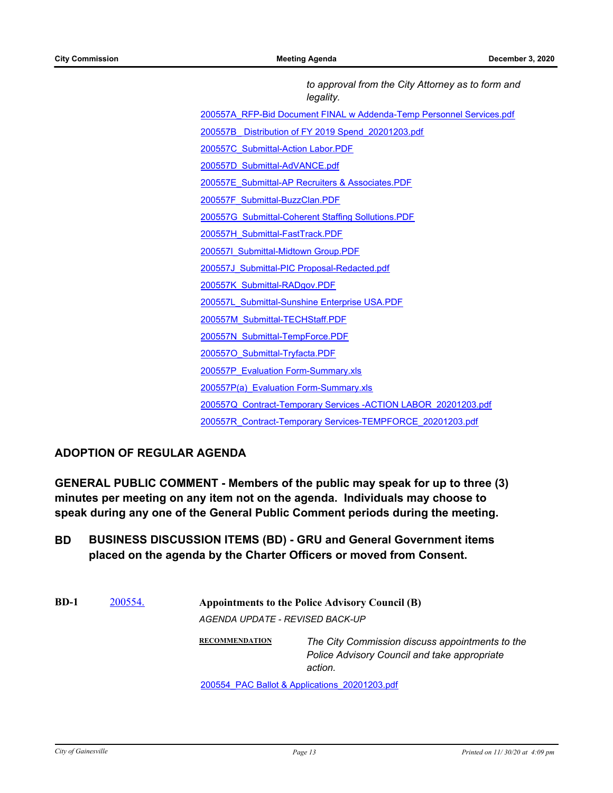*to approval from the City Attorney as to form and legality.*

[200557A\\_RFP-Bid Document FINAL w Addenda-Temp Personnel Services.pdf](http://Gainesville.legistar.com/gateway.aspx?M=F&ID=3b94b5e7-b654-4027-b4db-acab7328881b.pdf)

[200557B\\_ Distribution of FY 2019 Spend\\_20201203.pdf](http://Gainesville.legistar.com/gateway.aspx?M=F&ID=9c6053ff-2c6b-42ba-97f6-cf56f27658a8.pdf)

[200557C\\_Submittal-Action Labor.PDF](http://Gainesville.legistar.com/gateway.aspx?M=F&ID=9e007f35-2216-4178-8593-4130e82fe121.PDF)

[200557D\\_Submittal-AdVANCE.pdf](http://Gainesville.legistar.com/gateway.aspx?M=F&ID=8b7d662c-229b-4156-9aa9-445a57371d78.pdf)

[200557E\\_Submittal-AP Recruiters & Associates.PDF](http://Gainesville.legistar.com/gateway.aspx?M=F&ID=4fc648c9-464b-4938-9d4e-da870a45db37.PDF)

[200557F\\_Submittal-BuzzClan.PDF](http://Gainesville.legistar.com/gateway.aspx?M=F&ID=1fd44bb7-fed5-4c42-89db-43ed3dd4c91a.PDF)

[200557G\\_Submittal-Coherent Staffing Sollutions.PDF](http://Gainesville.legistar.com/gateway.aspx?M=F&ID=11ad145c-4895-470f-86c4-ee085d4d76fd.PDF)

[200557H\\_Submittal-FastTrack.PDF](http://Gainesville.legistar.com/gateway.aspx?M=F&ID=81f274ff-735c-4d2a-b36d-35cc373b787a.PDF)

[200557I\\_Submittal-Midtown Group.PDF](http://Gainesville.legistar.com/gateway.aspx?M=F&ID=38e6e36e-e8b0-46ca-8225-561cccc80d9a.PDF)

[200557J\\_Submittal-PIC Proposal-Redacted.pdf](http://Gainesville.legistar.com/gateway.aspx?M=F&ID=500df43b-49fe-40f0-8aeb-62090e8429b2.pdf)

[200557K\\_Submittal-RADgov.PDF](http://Gainesville.legistar.com/gateway.aspx?M=F&ID=4dfa518e-45ef-4d19-8441-10d8b2c423aa.PDF)

200557L Submittal-Sunshine Enterprise USA.PDF

[200557M\\_Submittal-TECHStaff.PDF](http://Gainesville.legistar.com/gateway.aspx?M=F&ID=e3d06200-1e29-475b-844b-4c2f8052964b.PDF)

[200557N\\_Submittal-TempForce.PDF](http://Gainesville.legistar.com/gateway.aspx?M=F&ID=dfd938c3-5f81-4c51-ac48-3bd4eb882c23.PDF)

[200557O\\_Submittal-Tryfacta.PDF](http://Gainesville.legistar.com/gateway.aspx?M=F&ID=810e6955-b9db-442a-9bf0-dbf902caefab.PDF)

[200557P\\_Evaluation Form-Summary.xls](http://Gainesville.legistar.com/gateway.aspx?M=F&ID=4c75221b-8378-4f87-82b0-889bb901b0fb.pdf)

- 200557P(a) Evaluation Form-Summary.xls
- [200557Q\\_Contract-Temporary Services -ACTION LABOR\\_20201203.pdf](http://Gainesville.legistar.com/gateway.aspx?M=F&ID=ba7e579e-3aef-4bfa-8ea5-c24772f63e8c.pdf)
- [200557R\\_Contract-Temporary Services-TEMPFORCE\\_20201203.pdf](http://Gainesville.legistar.com/gateway.aspx?M=F&ID=ce4fe193-0963-45f3-8eb5-8ad31a8dd8c3.pdf)

## **ADOPTION OF REGULAR AGENDA**

**GENERAL PUBLIC COMMENT - Members of the public may speak for up to three (3) minutes per meeting on any item not on the agenda. Individuals may choose to speak during any one of the General Public Comment periods during the meeting.**

- **BD BUSINESS DISCUSSION ITEMS (BD) GRU and General Government items placed on the agenda by the Charter Officers or moved from Consent.**
- **BD-1** [200554.](http://gainesville.legistar.com/gateway.aspx?m=l&id=/matter.aspx?key=32097) **Appointments to the Police Advisory Council (B)** *AGENDA UPDATE - REVISED BACK-UP* **RECOMMENDATION** *The City Commission discuss appointments to the Police Advisory Council and take appropriate*

*action.*

[200554\\_PAC Ballot & Applications\\_20201203.pdf](http://Gainesville.legistar.com/gateway.aspx?M=F&ID=1f9d39ef-cc1e-4882-a73f-b9b640bd4784.pdf)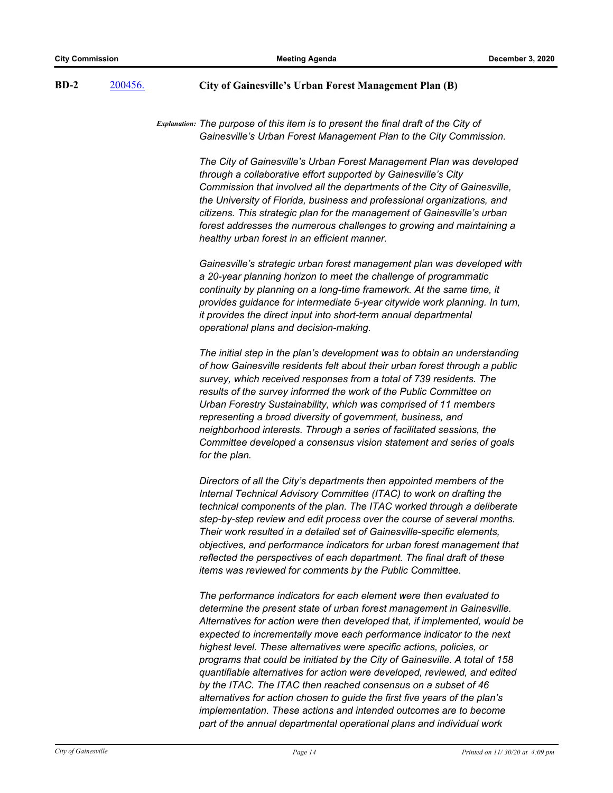## **BD-2** [200456.](http://gainesville.legistar.com/gateway.aspx?m=l&id=/matter.aspx?key=31999) **City of Gainesville's Urban Forest Management Plan (B)**

*Explanation: The purpose of this item is to present the final draft of the City of Gainesville's Urban Forest Management Plan to the City Commission.* 

> *The City of Gainesville's Urban Forest Management Plan was developed through a collaborative effort supported by Gainesville's City Commission that involved all the departments of the City of Gainesville, the University of Florida, business and professional organizations, and citizens. This strategic plan for the management of Gainesville's urban forest addresses the numerous challenges to growing and maintaining a healthy urban forest in an efficient manner.*

> *Gainesville's strategic urban forest management plan was developed with a 20-year planning horizon to meet the challenge of programmatic continuity by planning on a long-time framework. At the same time, it provides guidance for intermediate 5-year citywide work planning. In turn, it provides the direct input into short-term annual departmental operational plans and decision-making.*

*The initial step in the plan's development was to obtain an understanding of how Gainesville residents felt about their urban forest through a public survey, which received responses from a total of 739 residents. The results of the survey informed the work of the Public Committee on Urban Forestry Sustainability, which was comprised of 11 members representing a broad diversity of government, business, and neighborhood interests. Through a series of facilitated sessions, the Committee developed a consensus vision statement and series of goals for the plan.* 

*Directors of all the City's departments then appointed members of the Internal Technical Advisory Committee (ITAC) to work on drafting the technical components of the plan. The ITAC worked through a deliberate step-by-step review and edit process over the course of several months. Their work resulted in a detailed set of Gainesville-specific elements, objectives, and performance indicators for urban forest management that reflected the perspectives of each department. The final draft of these items was reviewed for comments by the Public Committee.* 

*The performance indicators for each element were then evaluated to determine the present state of urban forest management in Gainesville. Alternatives for action were then developed that, if implemented, would be expected to incrementally move each performance indicator to the next highest level. These alternatives were specific actions, policies, or programs that could be initiated by the City of Gainesville. A total of 158 quantifiable alternatives for action were developed, reviewed, and edited by the ITAC. The ITAC then reached consensus on a subset of 46 alternatives for action chosen to guide the first five years of the plan's implementation. These actions and intended outcomes are to become part of the annual departmental operational plans and individual work*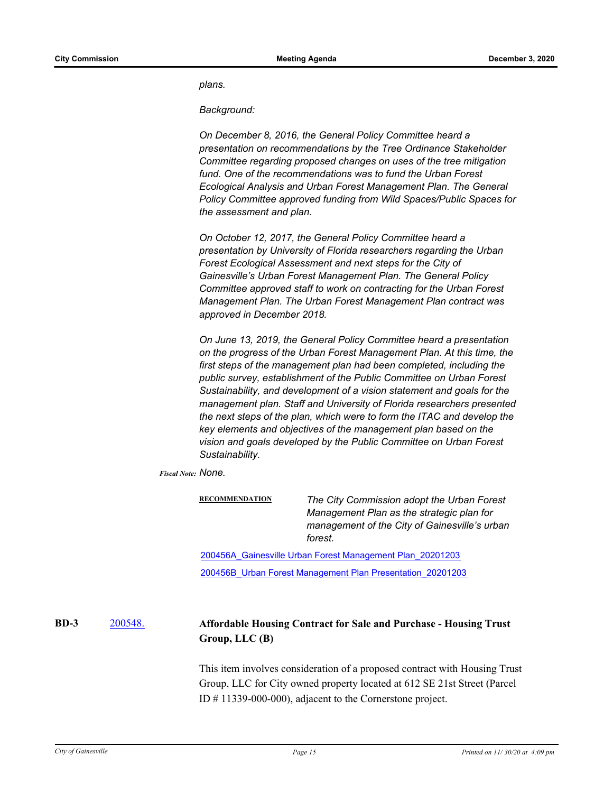*plans.* 

*Background:* 

*On December 8, 2016, the General Policy Committee heard a presentation on recommendations by the Tree Ordinance Stakeholder Committee regarding proposed changes on uses of the tree mitigation fund. One of the recommendations was to fund the Urban Forest Ecological Analysis and Urban Forest Management Plan. The General Policy Committee approved funding from Wild Spaces/Public Spaces for the assessment and plan.* 

*On October 12, 2017, the General Policy Committee heard a presentation by University of Florida researchers regarding the Urban Forest Ecological Assessment and next steps for the City of Gainesville's Urban Forest Management Plan. The General Policy Committee approved staff to work on contracting for the Urban Forest Management Plan. The Urban Forest Management Plan contract was approved in December 2018.* 

*On June 13, 2019, the General Policy Committee heard a presentation on the progress of the Urban Forest Management Plan. At this time, the first steps of the management plan had been completed, including the public survey, establishment of the Public Committee on Urban Forest Sustainability, and development of a vision statement and goals for the management plan. Staff and University of Florida researchers presented the next steps of the plan, which were to form the ITAC and develop the key elements and objectives of the management plan based on the vision and goals developed by the Public Committee on Urban Forest Sustainability.*

*Fiscal Note: None.*

**RECOMMENDATION** *The City Commission adopt the Urban Forest Management Plan as the strategic plan for management of the City of Gainesville's urban forest.*

[200456A\\_Gainesville Urban Forest Management Plan\\_20201203](http://Gainesville.legistar.com/gateway.aspx?M=F&ID=d7b241b4-3fb8-411a-b083-740fbb6292b3.pdf) [200456B\\_Urban Forest Management Plan Presentation\\_20201203](http://Gainesville.legistar.com/gateway.aspx?M=F&ID=f1fce8ad-1961-47be-af5b-0b1dee35a61a.pdf)

#### [200548.](http://gainesville.legistar.com/gateway.aspx?m=l&id=/matter.aspx?key=32091) **Affordable Housing Contract for Sale and Purchase - Housing Trust Group, LLC (B) BD-3**

This item involves consideration of a proposed contract with Housing Trust Group, LLC for City owned property located at 612 SE 21st Street (Parcel ID # 11339-000-000), adjacent to the Cornerstone project.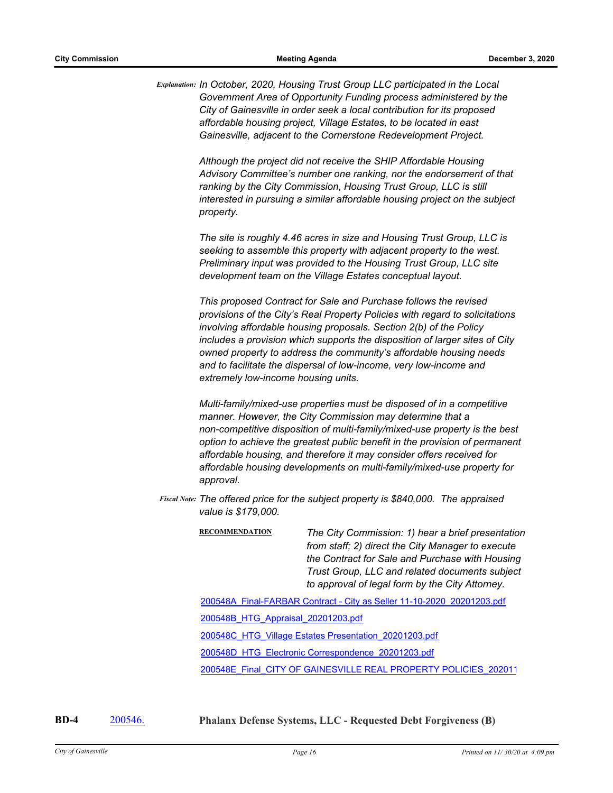*Explanation: In October, 2020, Housing Trust Group LLC participated in the Local Government Area of Opportunity Funding process administered by the City of Gainesville in order seek a local contribution for its proposed affordable housing project, Village Estates, to be located in east Gainesville, adjacent to the Cornerstone Redevelopment Project.*

> *Although the project did not receive the SHIP Affordable Housing Advisory Committee's number one ranking, nor the endorsement of that ranking by the City Commission, Housing Trust Group, LLC is still interested in pursuing a similar affordable housing project on the subject property.*

*The site is roughly 4.46 acres in size and Housing Trust Group, LLC is seeking to assemble this property with adjacent property to the west. Preliminary input was provided to the Housing Trust Group, LLC site development team on the Village Estates conceptual layout.*

*This proposed Contract for Sale and Purchase follows the revised provisions of the City's Real Property Policies with regard to solicitations involving affordable housing proposals. Section 2(b) of the Policy includes a provision which supports the disposition of larger sites of City owned property to address the community's affordable housing needs and to facilitate the dispersal of low-income, very low-income and extremely low-income housing units.* 

*Multi-family/mixed-use properties must be disposed of in a competitive manner. However, the City Commission may determine that a non-competitive disposition of multi-family/mixed-use property is the best option to achieve the greatest public benefit in the provision of permanent affordable housing, and therefore it may consider offers received for affordable housing developments on multi-family/mixed-use property for approval.*

*The offered price for the subject property is \$840,000. The appraised Fiscal Note: value is \$179,000.*

> **RECOMMENDATION** *The City Commission: 1) hear a brief presentation from staff; 2) direct the City Manager to execute the Contract for Sale and Purchase with Housing Trust Group, LLC and related documents subject to approval of legal form by the City Attorney.*

[200548A\\_Final-FARBAR Contract - City as Seller 11-10-2020\\_20201203.pdf](http://Gainesville.legistar.com/gateway.aspx?M=F&ID=bfb8d9e4-9867-4b75-9d4c-1b083f4a2e29.pdf)

[200548B\\_HTG\\_Appraisal\\_20201203.pdf](http://Gainesville.legistar.com/gateway.aspx?M=F&ID=5bb446d4-a045-4745-886c-9e4c2846d868.pdf)

[200548C\\_HTG\\_Village Estates Presentation\\_20201203.pdf](http://Gainesville.legistar.com/gateway.aspx?M=F&ID=a186cec8-bda9-4664-8bdb-5322bf08a3c6.pdf)

[200548D\\_HTG\\_Electronic Correspondence\\_20201203.pdf](http://Gainesville.legistar.com/gateway.aspx?M=F&ID=b8b64a57-d3e3-429c-88c6-1f5f05022072.pdf)

[200548E\\_Final\\_CITY OF GAINESVILLE REAL PROPERTY POLICIES\\_202011](http://Gainesville.legistar.com/gateway.aspx?M=F&ID=28cdef42-908e-4158-a640-7df762f454d0.pdf)

**BD-4** [200546.](http://gainesville.legistar.com/gateway.aspx?m=l&id=/matter.aspx?key=32089) **Phalanx Defense Systems, LLC - Requested Debt Forgiveness (B)**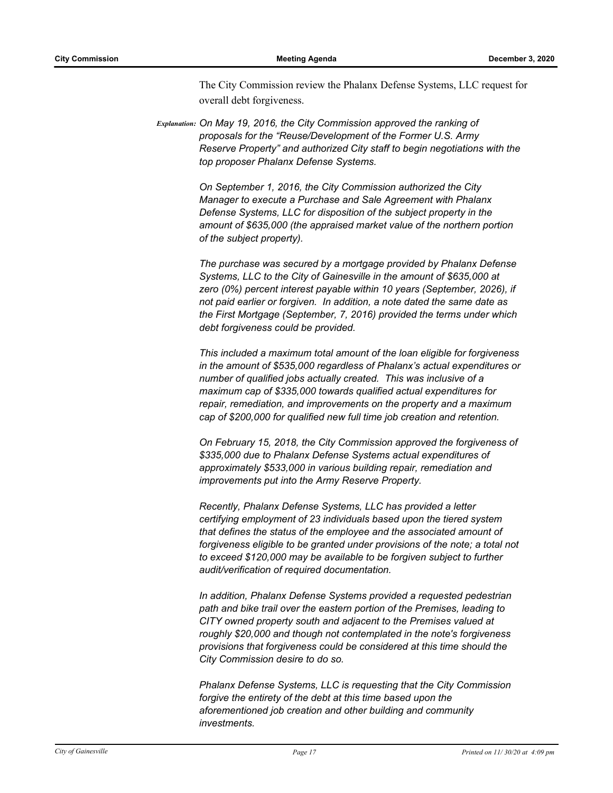The City Commission review the Phalanx Defense Systems, LLC request for overall debt forgiveness.

*Explanation: On May 19, 2016, the City Commission approved the ranking of proposals for the "Reuse/Development of the Former U.S. Army Reserve Property" and authorized City staff to begin negotiations with the top proposer Phalanx Defense Systems.* 

> *On September 1, 2016, the City Commission authorized the City Manager to execute a Purchase and Sale Agreement with Phalanx Defense Systems, LLC for disposition of the subject property in the amount of \$635,000 (the appraised market value of the northern portion of the subject property).*

*The purchase was secured by a mortgage provided by Phalanx Defense Systems, LLC to the City of Gainesville in the amount of \$635,000 at zero (0%) percent interest payable within 10 years (September, 2026), if not paid earlier or forgiven. In addition, a note dated the same date as the First Mortgage (September, 7, 2016) provided the terms under which debt forgiveness could be provided.* 

*This included a maximum total amount of the loan eligible for forgiveness in the amount of \$535,000 regardless of Phalanx's actual expenditures or number of qualified jobs actually created. This was inclusive of a maximum cap of \$335,000 towards qualified actual expenditures for repair, remediation, and improvements on the property and a maximum cap of \$200,000 for qualified new full time job creation and retention.* 

*On February 15, 2018, the City Commission approved the forgiveness of \$335,000 due to Phalanx Defense Systems actual expenditures of approximately \$533,000 in various building repair, remediation and improvements put into the Army Reserve Property.* 

*Recently, Phalanx Defense Systems, LLC has provided a letter certifying employment of 23 individuals based upon the tiered system that defines the status of the employee and the associated amount of forgiveness eligible to be granted under provisions of the note; a total not to exceed \$120,000 may be available to be forgiven subject to further audit/verification of required documentation.* 

*In addition, Phalanx Defense Systems provided a requested pedestrian path and bike trail over the eastern portion of the Premises, leading to CITY owned property south and adjacent to the Premises valued at roughly \$20,000 and though not contemplated in the note's forgiveness provisions that forgiveness could be considered at this time should the City Commission desire to do so.* 

*Phalanx Defense Systems, LLC is requesting that the City Commission forgive the entirety of the debt at this time based upon the aforementioned job creation and other building and community investments.*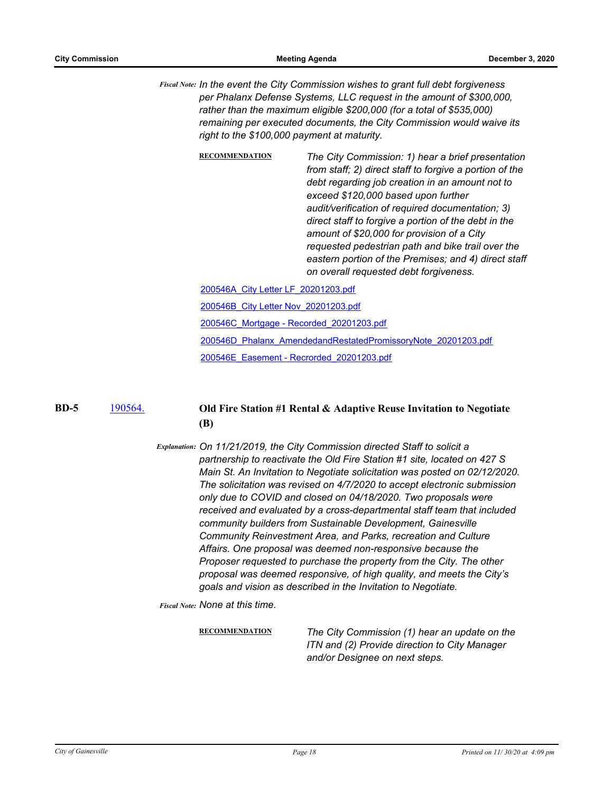*In the event the City Commission wishes to grant full debt forgiveness Fiscal Note: per Phalanx Defense Systems, LLC request in the amount of \$300,000, rather than the maximum eligible \$200,000 (for a total of \$535,000) remaining per executed documents, the City Commission would waive its right to the \$100,000 payment at maturity.*

| <b>RECOMMENDATION</b>                    | The City Commission: 1) hear a brief presentation<br>from staff; 2) direct staff to forgive a portion of the<br>debt regarding job creation in an amount not to<br>exceed \$120,000 based upon further<br>audit/verification of required documentation; 3)<br>direct staff to forgive a portion of the debt in the<br>amount of \$20,000 for provision of a City<br>requested pedestrian path and bike trail over the<br>eastern portion of the Premises; and 4) direct staff<br>on overall requested debt forgiveness. |
|------------------------------------------|-------------------------------------------------------------------------------------------------------------------------------------------------------------------------------------------------------------------------------------------------------------------------------------------------------------------------------------------------------------------------------------------------------------------------------------------------------------------------------------------------------------------------|
| 200546A City Letter LF 20201203.pdf      |                                                                                                                                                                                                                                                                                                                                                                                                                                                                                                                         |
| 200546B City Letter Nov 20201203.pdf     |                                                                                                                                                                                                                                                                                                                                                                                                                                                                                                                         |
| 200546C Mortgage - Recorded 20201203.pdf |                                                                                                                                                                                                                                                                                                                                                                                                                                                                                                                         |
|                                          | 200546D Phalanx AmendedandRestatedPromissoryNote 20201203.pdf                                                                                                                                                                                                                                                                                                                                                                                                                                                           |

[200546E\\_Easement - Recrorded\\_20201203.pdf](http://Gainesville.legistar.com/gateway.aspx?M=F&ID=b786e2be-7de9-4938-8024-d66fa9965699.pdf)

**BD-5**

# [190564.](http://gainesville.legistar.com/gateway.aspx?m=l&id=/matter.aspx?key=30845) **Old Fire Station #1 Rental & Adaptive Reuse Invitation to Negotiate (B)**

*Explanation: On 11/21/2019, the City Commission directed Staff to solicit a partnership to reactivate the Old Fire Station #1 site, located on 427 S Main St. An Invitation to Negotiate solicitation was posted on 02/12/2020. The solicitation was revised on 4/7/2020 to accept electronic submission only due to COVID and closed on 04/18/2020. Two proposals were received and evaluated by a cross-departmental staff team that included community builders from Sustainable Development, Gainesville Community Reinvestment Area, and Parks, recreation and Culture Affairs. One proposal was deemed non-responsive because the Proposer requested to purchase the property from the City. The other proposal was deemed responsive, of high quality, and meets the City's goals and vision as described in the Invitation to Negotiate.*

*Fiscal Note: None at this time.*

**RECOMMENDATION** *The City Commission (1) hear an update on the ITN and (2) Provide direction to City Manager and/or Designee on next steps.*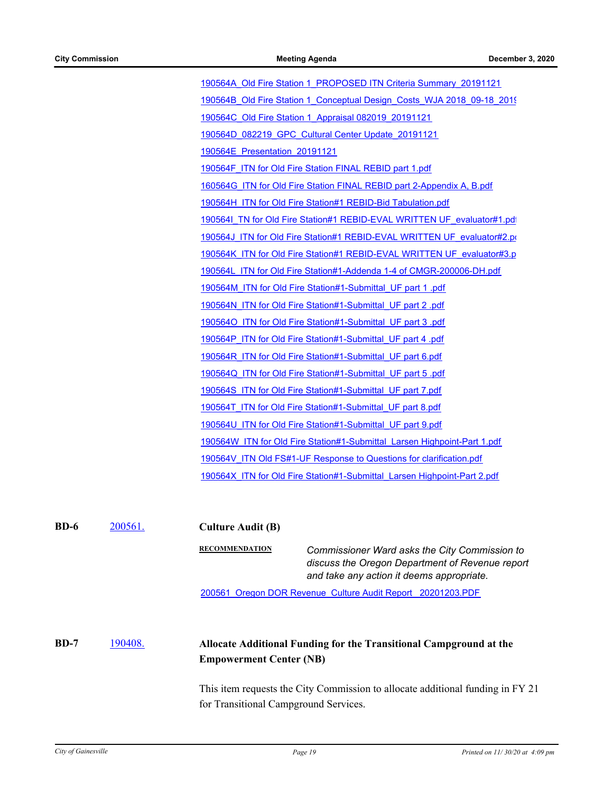[190564A\\_Old Fire Station 1\\_PROPOSED ITN Criteria Summary\\_20191121](http://Gainesville.legistar.com/gateway.aspx?M=F&ID=34a8a60d-7483-4d5f-ae85-b5ba906ff399.pdf) [190564B\\_Old Fire Station 1\\_Conceptual Design\\_Costs\\_WJA 2018\\_09-18\\_2019](http://Gainesville.legistar.com/gateway.aspx?M=F&ID=174b4a2f-4326-4035-b498-66c417b7315e.pdf) [190564C\\_Old Fire Station 1\\_Appraisal 082019\\_20191121](http://Gainesville.legistar.com/gateway.aspx?M=F&ID=e91e2b18-232d-4623-9118-accb6df5f442.pdf) [190564D\\_082219\\_GPC\\_Cultural Center Update\\_20191121](http://Gainesville.legistar.com/gateway.aspx?M=F&ID=6e6de6bd-a1c0-44cf-8b7e-a99b18e3743a.pdf) [190564E\\_Presentation\\_20191121](http://Gainesville.legistar.com/gateway.aspx?M=F&ID=80ab37cd-d06f-476c-84bf-9eee35b8bacb.pdf) [190564F\\_ITN for Old Fire Station FINAL REBID part 1.pdf](http://Gainesville.legistar.com/gateway.aspx?M=F&ID=d2f23df9-9d33-4302-b181-d491032725ec.pdf) [160564G\\_ITN for Old Fire Station FINAL REBID part 2-Appendix A, B.pdf](http://Gainesville.legistar.com/gateway.aspx?M=F&ID=8fa47f13-35be-45de-965c-fb1ae9dca74d.pdf) [190564H\\_ITN for Old Fire Station#1 REBID-Bid Tabulation.pdf](http://Gainesville.legistar.com/gateway.aspx?M=F&ID=982317b8-a31b-4e7e-9acf-20f7a51de0d6.pdf) [190564I\\_TN for Old Fire Station#1 REBID-EVAL WRITTEN UF\\_evaluator#1.pdf](http://Gainesville.legistar.com/gateway.aspx?M=F&ID=01570f7c-e8e1-408b-ba3f-23cacfb4e1b0.pdf) [190564J\\_ITN for Old Fire Station#1 REBID-EVAL WRITTEN UF\\_evaluator#2.pd](http://Gainesville.legistar.com/gateway.aspx?M=F&ID=6d03aec9-80b6-431d-9e3a-25b1f6876aef.pdf) [190564K\\_ITN for Old Fire Station#1 REBID-EVAL WRITTEN UF\\_evaluator#3.p](http://Gainesville.legistar.com/gateway.aspx?M=F&ID=6f842784-4eda-468f-aab7-555870f2ba71.pdf) [190564L\\_ITN for Old Fire Station#1-Addenda 1-4 of CMGR-200006-DH.pdf](http://Gainesville.legistar.com/gateway.aspx?M=F&ID=2dbe64b6-95fa-4c57-a214-bbf5d2e549e6.pdf) [190564M\\_ITN for Old Fire Station#1-Submittal\\_UF part 1 .pdf](http://Gainesville.legistar.com/gateway.aspx?M=F&ID=afa0430f-6059-4180-a169-3888eb94c738.pdf) [190564N\\_ITN for Old Fire Station#1-Submittal\\_UF part 2 .pdf](http://Gainesville.legistar.com/gateway.aspx?M=F&ID=e992210d-614f-4dcc-8c0a-3633534d28e4.pdf) [190564O\\_ITN for Old Fire Station#1-Submittal\\_UF part 3 .pdf](http://Gainesville.legistar.com/gateway.aspx?M=F&ID=b8c122da-fa52-440e-a5cd-e7ff054c926c.pdf) [190564P\\_ITN for Old Fire Station#1-Submittal\\_UF part 4 .pdf](http://Gainesville.legistar.com/gateway.aspx?M=F&ID=8a8960e1-4e05-4aa8-a43e-b9313ea9a534.pdf) [190564R\\_ITN for Old Fire Station#1-Submittal\\_UF part 6.pdf](http://Gainesville.legistar.com/gateway.aspx?M=F&ID=b4a9e2c0-03c6-43ed-8374-a04ee7f581f8.pdf) [190564Q\\_ITN for Old Fire Station#1-Submittal\\_UF part 5 .pdf](http://Gainesville.legistar.com/gateway.aspx?M=F&ID=a423ed50-6521-41ec-a699-4d4d0f0267ba.pdf) [190564S\\_ITN for Old Fire Station#1-Submittal\\_UF part 7.pdf](http://Gainesville.legistar.com/gateway.aspx?M=F&ID=c6a90790-6803-491a-946a-3285666bd5d5.pdf) [190564T\\_ITN for Old Fire Station#1-Submittal\\_UF part 8.pdf](http://Gainesville.legistar.com/gateway.aspx?M=F&ID=75dc6910-cb63-474c-880f-8fbe3f81c49f.pdf) [190564U\\_ITN for Old Fire Station#1-Submittal\\_UF part 9.pdf](http://Gainesville.legistar.com/gateway.aspx?M=F&ID=201f3cf3-d3ba-478e-92d4-e1c93b817f68.pdf) [190564W\\_ITN for Old Fire Station#1-Submittal\\_Larsen Highpoint-Part 1.pdf](http://Gainesville.legistar.com/gateway.aspx?M=F&ID=4063cc79-082b-4496-a2b0-e7fbb3035cc6.pdf) 190564V ITN Old FS#1-UF Response to Questions for clarification.pdf [190564X\\_ITN for Old Fire Station#1-Submittal\\_Larsen Highpoint-Part 2.pdf](http://Gainesville.legistar.com/gateway.aspx?M=F&ID=92a5b0ee-9043-4e06-9ab5-0c507dcdd84b.pdf)

| $BD-6$ | 200561.                                   | <b>Culture Audit (B)</b>              |                                                                                                                                               |  |
|--------|-------------------------------------------|---------------------------------------|-----------------------------------------------------------------------------------------------------------------------------------------------|--|
|        |                                           | <b>RECOMMENDATION</b>                 | Commissioner Ward asks the City Commission to<br>discuss the Oregon Department of Revenue report<br>and take any action it deems appropriate. |  |
|        |                                           |                                       | 200561 Oregon DOR Revenue Culture Audit Report 20201203.PDF                                                                                   |  |
| $BD-7$ | 190408.<br><b>Empowerment Center (NB)</b> |                                       | Allocate Additional Funding for the Transitional Campground at the                                                                            |  |
|        |                                           | for Transitional Campground Services. | This item requests the City Commission to allocate additional funding in FY 21                                                                |  |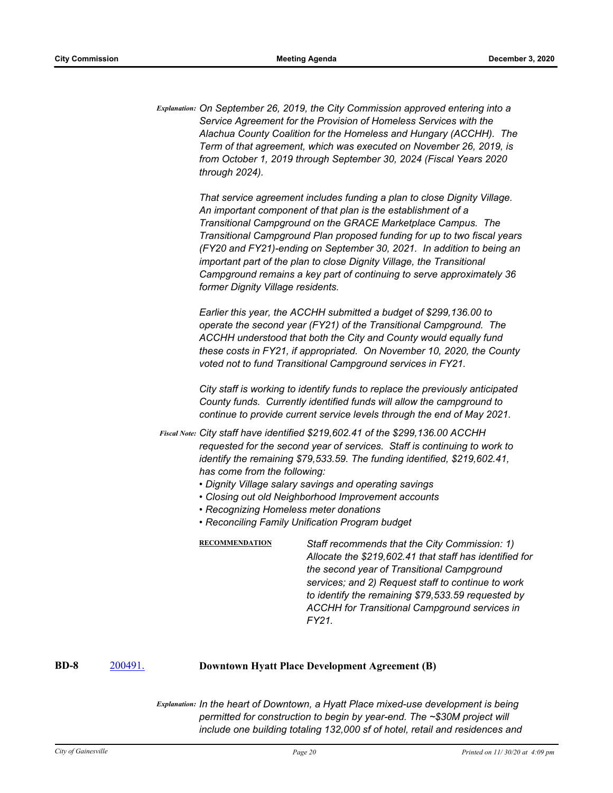*Explanation: On September 26, 2019, the City Commission approved entering into a Service Agreement for the Provision of Homeless Services with the Alachua County Coalition for the Homeless and Hungary (ACCHH). The Term of that agreement, which was executed on November 26, 2019, is from October 1, 2019 through September 30, 2024 (Fiscal Years 2020 through 2024).*

> *That service agreement includes funding a plan to close Dignity Village. An important component of that plan is the establishment of a Transitional Campground on the GRACE Marketplace Campus. The Transitional Campground Plan proposed funding for up to two fiscal years (FY20 and FY21)-ending on September 30, 2021. In addition to being an important part of the plan to close Dignity Village, the Transitional Campground remains a key part of continuing to serve approximately 36 former Dignity Village residents.*

> *Earlier this year, the ACCHH submitted a budget of \$299,136.00 to operate the second year (FY21) of the Transitional Campground. The ACCHH understood that both the City and County would equally fund these costs in FY21, if appropriated. On November 10, 2020, the County voted not to fund Transitional Campground services in FY21.*

> *City staff is working to identify funds to replace the previously anticipated County funds. Currently identified funds will allow the campground to continue to provide current service levels through the end of May 2021.*

*City staff have identified \$219,602.41 of the \$299,136.00 ACCHH Fiscal Note: requested for the second year of services. Staff is continuing to work to identify the remaining \$79,533.59. The funding identified, \$219,602.41, has come from the following:*

- *Dignity Village salary savings and operating savings*
- *Closing out old Neighborhood Improvement accounts*
- *Recognizing Homeless meter donations*
- *Reconciling Family Unification Program budget*

**RECOMMENDATION** *Staff recommends that the City Commission: 1) Allocate the \$219,602.41 that staff has identified for the second year of Transitional Campground services; and 2) Request staff to continue to work to identify the remaining \$79,533.59 requested by ACCHH for Transitional Campground services in FY21.*

### **BD-8** [200491.](http://gainesville.legistar.com/gateway.aspx?m=l&id=/matter.aspx?key=32034) **Downtown Hyatt Place Development Agreement (B)**

*Explanation: In the heart of Downtown, a Hyatt Place mixed-use development is being permitted for construction to begin by year-end. The ~\$30M project will include one building totaling 132,000 sf of hotel, retail and residences and*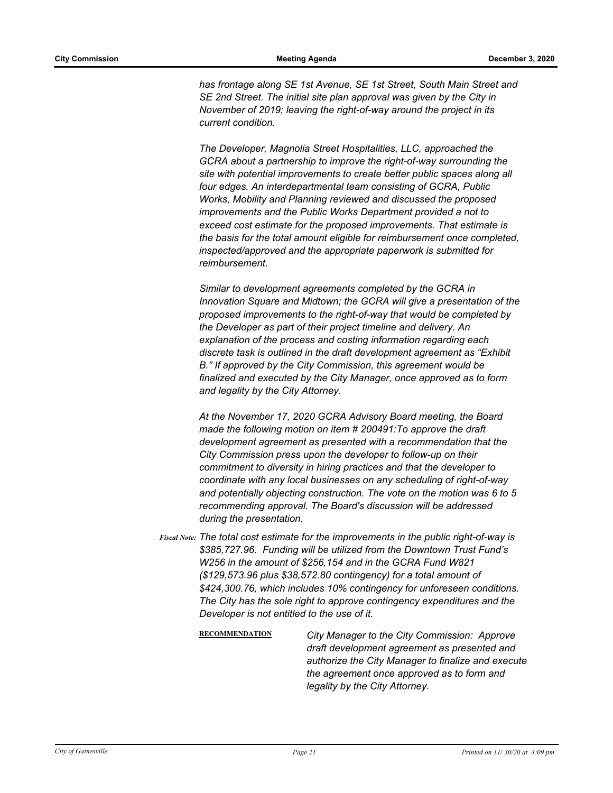*has frontage along SE 1st Avenue, SE 1st Street, South Main Street and SE 2nd Street. The initial site plan approval was given by the City in November of 2019; leaving the right-of-way around the project in its current condition.* 

*The Developer, Magnolia Street Hospitalities, LLC, approached the GCRA about a partnership to improve the right-of-way surrounding the site with potential improvements to create better public spaces along all four edges. An interdepartmental team consisting of GCRA, Public Works, Mobility and Planning reviewed and discussed the proposed improvements and the Public Works Department provided a not to exceed cost estimate for the proposed improvements. That estimate is the basis for the total amount eligible for reimbursement once completed, inspected/approved and the appropriate paperwork is submitted for reimbursement.* 

*Similar to development agreements completed by the GCRA in Innovation Square and Midtown; the GCRA will give a presentation of the proposed improvements to the right-of-way that would be completed by the Developer as part of their project timeline and delivery. An explanation of the process and costing information regarding each discrete task is outlined in the draft development agreement as "Exhibit B." If approved by the City Commission, this agreement would be finalized and executed by the City Manager, once approved as to form and legality by the City Attorney.* 

*At the November 17, 2020 GCRA Advisory Board meeting, the Board made the following motion on item # 200491:To approve the draft development agreement as presented with a recommendation that the City Commission press upon the developer to follow-up on their commitment to diversity in hiring practices and that the developer to coordinate with any local businesses on any scheduling of right-of-way and potentially objecting construction. The vote on the motion was 6 to 5 recommending approval. The Board's discussion will be addressed during the presentation.*

- *The total cost estimate for the improvements in the public right-of-way is Fiscal Note: \$385,727.96. Funding will be utilized from the Downtown Trust Fund's W256 in the amount of \$256,154 and in the GCRA Fund W821 (\$129,573.96 plus \$38,572.80 contingency) for a total amount of \$424,300.76, which includes 10% contingency for unforeseen conditions. The City has the sole right to approve contingency expenditures and the Developer is not entitled to the use of it.*
	- **RECOMMENDATION** *City Manager to the City Commission: Approve draft development agreement as presented and authorize the City Manager to finalize and execute the agreement once approved as to form and legality by the City Attorney.*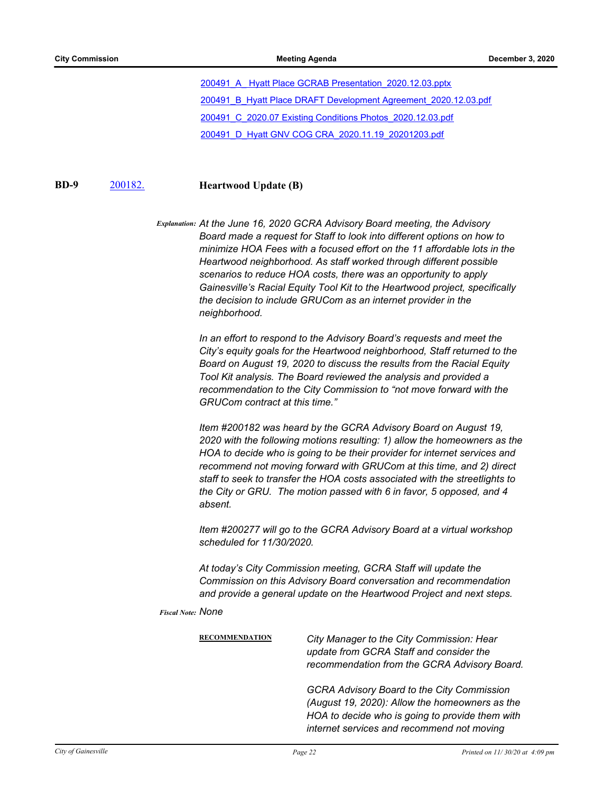[200491\\_A\\_ Hyatt Place GCRAB Presentation\\_2020.12.03.pptx](http://Gainesville.legistar.com/gateway.aspx?M=F&ID=5aa3d143-9b03-44b0-b0c5-17b342414849.pptx) 200491\_B\_Hyatt Place DRAFT Development Agreement 2020.12.03.pdf [200491\\_C\\_2020.07 Existing Conditions Photos\\_2020.12.03.pdf](http://Gainesville.legistar.com/gateway.aspx?M=F&ID=7235f979-889a-4be9-85b5-a41624bacf9d.pdf)

[200491\\_D\\_Hyatt GNV COG CRA\\_2020.11.19\\_20201203.pdf](http://Gainesville.legistar.com/gateway.aspx?M=F&ID=0df6f90c-ac8a-422f-aa11-362be175e209.pdf)

### **BD-9** [200182.](http://gainesville.legistar.com/gateway.aspx?m=l&id=/matter.aspx?key=31725) **Heartwood Update (B)**

*Explanation: At the June 16, 2020 GCRA Advisory Board meeting, the Advisory Board made a request for Staff to look into different options on how to minimize HOA Fees with a focused effort on the 11 affordable lots in the Heartwood neighborhood. As staff worked through different possible scenarios to reduce HOA costs, there was an opportunity to apply Gainesville's Racial Equity Tool Kit to the Heartwood project, specifically the decision to include GRUCom as an internet provider in the neighborhood.* 

> *In an effort to respond to the Advisory Board's requests and meet the City's equity goals for the Heartwood neighborhood, Staff returned to the Board on August 19, 2020 to discuss the results from the Racial Equity Tool Kit analysis. The Board reviewed the analysis and provided a recommendation to the City Commission to "not move forward with the GRUCom contract at this time."*

*Item #200182 was heard by the GCRA Advisory Board on August 19, 2020 with the following motions resulting: 1) allow the homeowners as the HOA to decide who is going to be their provider for internet services and recommend not moving forward with GRUCom at this time, and 2) direct staff to seek to transfer the HOA costs associated with the streetlights to the City or GRU. The motion passed with 6 in favor, 5 opposed, and 4 absent.* 

*Item #200277 will go to the GCRA Advisory Board at a virtual workshop scheduled for 11/30/2020.* 

*At today's City Commission meeting, GCRA Staff will update the Commission on this Advisory Board conversation and recommendation and provide a general update on the Heartwood Project and next steps.*

*Fiscal Note: None*

**RECOMMENDATION** *City Manager to the City Commission: Hear update from GCRA Staff and consider the recommendation from the GCRA Advisory Board. GCRA Advisory Board to the City Commission (August 19, 2020): Allow the homeowners as the HOA to decide who is going to provide them with internet services and recommend not moving*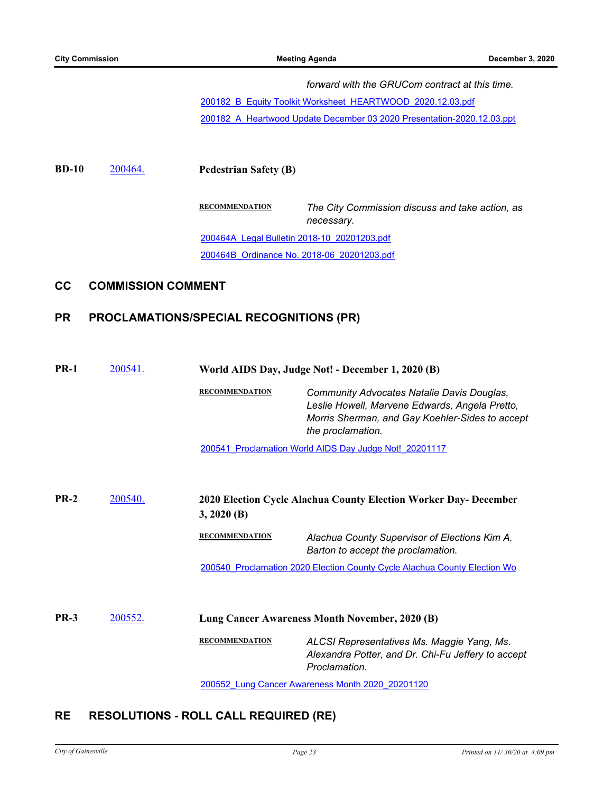*forward with the GRUCom contract at this time.*

[200182\\_B\\_Equity Toolkit Worksheet\\_HEARTWOOD\\_2020.12.03.pdf](http://Gainesville.legistar.com/gateway.aspx?M=F&ID=a193f13f-929f-495e-afa1-845045d6e515.pdf)

200182\_A\_Heartwood Update December 03 2020 Presentation-2020.12.03.ppt

**BD-10** [200464.](http://gainesville.legistar.com/gateway.aspx?m=l&id=/matter.aspx?key=32007) **Pedestrian Safety (B)**

**RECOMMENDATION** *The City Commission discuss and take action, as necessary.* [200464A\\_Legal Bulletin 2018-10\\_20201203.pdf](http://Gainesville.legistar.com/gateway.aspx?M=F&ID=19e787a1-c0a0-4b35-bcbc-26163b73c740.pdf) [200464B\\_Ordinance No. 2018-06\\_20201203.pdf](http://Gainesville.legistar.com/gateway.aspx?M=F&ID=8066a1f4-6f2d-4250-97ca-dcc8e5a72f79.pdf)

## **CC COMMISSION COMMENT**

# **PR PROCLAMATIONS/SPECIAL RECOGNITIONS (PR)**

| <b>PR-1</b> | 200541.        | World AIDS Day, Judge Not! - December 1, 2020 (B) |                                                                                                                                                                             |
|-------------|----------------|---------------------------------------------------|-----------------------------------------------------------------------------------------------------------------------------------------------------------------------------|
|             |                | <b>RECOMMENDATION</b>                             | <b>Community Advocates Natalie Davis Douglas,</b><br>Leslie Howell, Marvene Edwards, Angela Pretto,<br>Morris Sherman, and Gay Koehler-Sides to accept<br>the proclamation. |
|             |                |                                                   | 200541 Proclamation World AIDS Day Judge Not! 20201117                                                                                                                      |
| $PR-2$      | 200540.        | $3, 2020$ (B)                                     | 2020 Election Cycle Alachua County Election Worker Day- December                                                                                                            |
|             |                | <b>RECOMMENDATION</b>                             | Alachua County Supervisor of Elections Kim A.<br>Barton to accept the proclamation.                                                                                         |
|             |                |                                                   | 200540 Proclamation 2020 Election County Cycle Alachua County Election Wo                                                                                                   |
| <b>PR-3</b> | <u>200552.</u> |                                                   | Lung Cancer Awareness Month November, 2020 (B)                                                                                                                              |
|             |                | <b>RECOMMENDATION</b>                             | ALCSI Representatives Ms. Maggie Yang, Ms.<br>Alexandra Potter, and Dr. Chi-Fu Jeffery to accept<br>Proclamation.                                                           |

[200552\\_Lung Cancer Awareness Month 2020\\_20201120](http://Gainesville.legistar.com/gateway.aspx?M=F&ID=0c1bfe0c-6ea8-4c3c-835f-bf5ceb89dcbd.pdf)

# **RE RESOLUTIONS - ROLL CALL REQUIRED (RE)**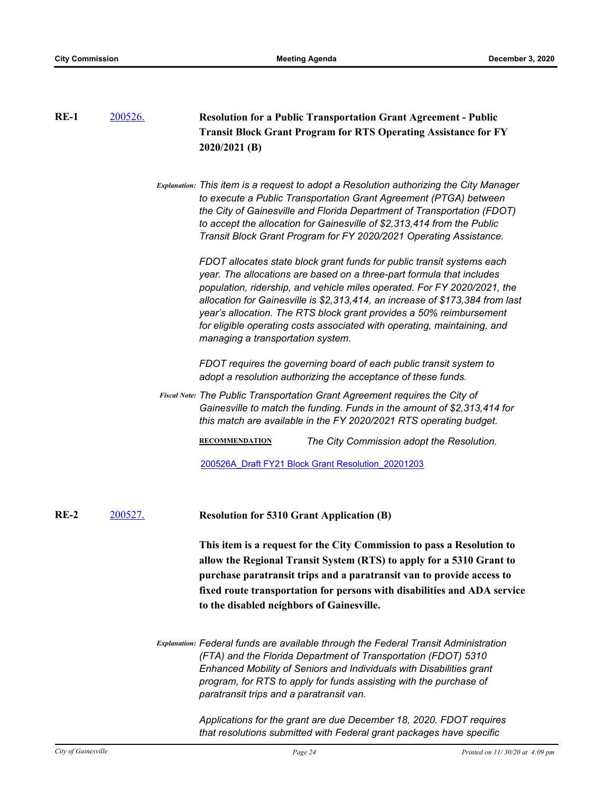| $RE-1$ | 200526. |                                                                        | <b>Resolution for a Public Transportation Grant Agreement - Public</b>                                                                                                                                                                                                                                                                                                                                                                                                                               |  |  |
|--------|---------|------------------------------------------------------------------------|------------------------------------------------------------------------------------------------------------------------------------------------------------------------------------------------------------------------------------------------------------------------------------------------------------------------------------------------------------------------------------------------------------------------------------------------------------------------------------------------------|--|--|
|        |         | <b>Transit Block Grant Program for RTS Operating Assistance for FY</b> |                                                                                                                                                                                                                                                                                                                                                                                                                                                                                                      |  |  |
|        |         |                                                                        | 2020/2021 (B)                                                                                                                                                                                                                                                                                                                                                                                                                                                                                        |  |  |
|        |         |                                                                        |                                                                                                                                                                                                                                                                                                                                                                                                                                                                                                      |  |  |
|        |         |                                                                        | Explanation: This item is a request to adopt a Resolution authorizing the City Manager<br>to execute a Public Transportation Grant Agreement (PTGA) between<br>the City of Gainesville and Florida Department of Transportation (FDOT)<br>to accept the allocation for Gainesville of \$2,313,414 from the Public<br>Transit Block Grant Program for FY 2020/2021 Operating Assistance.                                                                                                              |  |  |
|        |         |                                                                        | FDOT allocates state block grant funds for public transit systems each<br>year. The allocations are based on a three-part formula that includes<br>population, ridership, and vehicle miles operated. For FY 2020/2021, the<br>allocation for Gainesville is \$2,313,414, an increase of \$173,384 from last<br>year's allocation. The RTS block grant provides a 50% reimbursement<br>for eligible operating costs associated with operating, maintaining, and<br>managing a transportation system. |  |  |
|        |         |                                                                        | FDOT requires the governing board of each public transit system to<br>adopt a resolution authorizing the acceptance of these funds.                                                                                                                                                                                                                                                                                                                                                                  |  |  |
|        |         |                                                                        | Fiscal Note: The Public Transportation Grant Agreement requires the City of<br>Gainesville to match the funding. Funds in the amount of \$2,313,414 for<br>this match are available in the FY 2020/2021 RTS operating budget.                                                                                                                                                                                                                                                                        |  |  |
|        |         |                                                                        | <b>RECOMMENDATION</b><br>The City Commission adopt the Resolution.                                                                                                                                                                                                                                                                                                                                                                                                                                   |  |  |
|        |         |                                                                        | 200526A Draft FY21 Block Grant Resolution 20201203                                                                                                                                                                                                                                                                                                                                                                                                                                                   |  |  |
| $RE-2$ | 200527. |                                                                        | <b>Resolution for 5310 Grant Application (B)</b>                                                                                                                                                                                                                                                                                                                                                                                                                                                     |  |  |
|        |         |                                                                        | This item is a request for the City Commission to pass a Resolution to<br>allow the Regional Transit System (RTS) to apply for a 5310 Grant to<br>purchase paratransit trips and a paratransit van to provide access to<br>fixed route transportation for persons with disabilities and ADA service<br>to the disabled neighbors of Gainesville.                                                                                                                                                     |  |  |
|        |         |                                                                        | Explanation: Federal funds are available through the Federal Transit Administration<br>(FTA) and the Florida Department of Transportation (FDOT) 5310<br>Enhanced Mobility of Seniors and Individuals with Disabilities grant<br>program, for RTS to apply for funds assisting with the purchase of<br>paratransit trips and a paratransit van.                                                                                                                                                      |  |  |
|        |         |                                                                        | Applications for the grant are due December 18, 2020. FDOT requires<br>that resolutions submitted with Federal grant packages have specific                                                                                                                                                                                                                                                                                                                                                          |  |  |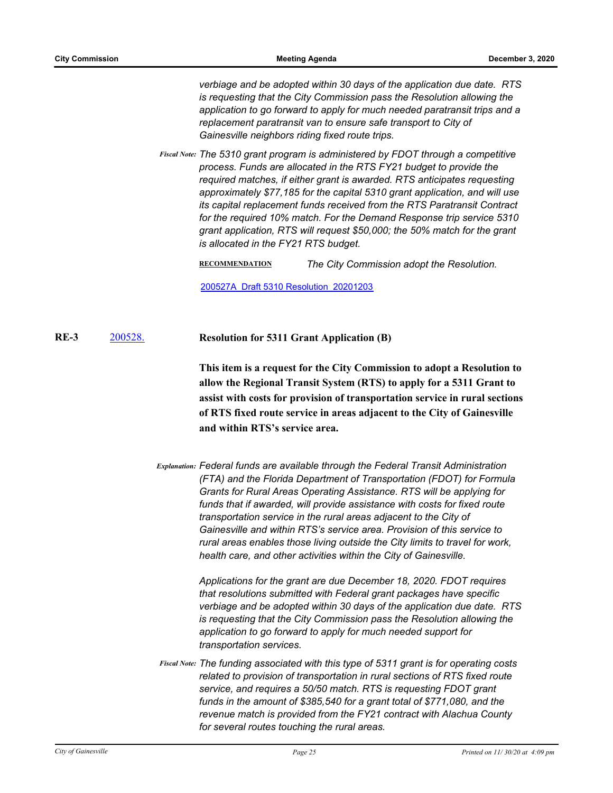*verbiage and be adopted within 30 days of the application due date. RTS is requesting that the City Commission pass the Resolution allowing the application to go forward to apply for much needed paratransit trips and a replacement paratransit van to ensure safe transport to City of Gainesville neighbors riding fixed route trips.*

*The 5310 grant program is administered by FDOT through a competitive Fiscal Note: process. Funds are allocated in the RTS FY21 budget to provide the required matches, if either grant is awarded. RTS anticipates requesting approximately \$77,185 for the capital 5310 grant application, and will use its capital replacement funds received from the RTS Paratransit Contract for the required 10% match. For the Demand Response trip service 5310 grant application, RTS will request \$50,000; the 50% match for the grant is allocated in the FY21 RTS budget.*

**RECOMMENDATION** *The City Commission adopt the Resolution.*

[200527A\\_Draft 5310 Resolution\\_20201203](http://Gainesville.legistar.com/gateway.aspx?M=F&ID=b09d9e30-f396-4308-a0a0-8b2a83924101.pdf)

[200528.](http://gainesville.legistar.com/gateway.aspx?m=l&id=/matter.aspx?key=32071) **Resolution for 5311 Grant Application (B) RE-3**

> **This item is a request for the City Commission to adopt a Resolution to allow the Regional Transit System (RTS) to apply for a 5311 Grant to assist with costs for provision of transportation service in rural sections of RTS fixed route service in areas adjacent to the City of Gainesville and within RTS's service area.**

*Explanation: Federal funds are available through the Federal Transit Administration (FTA) and the Florida Department of Transportation (FDOT) for Formula Grants for Rural Areas Operating Assistance. RTS will be applying for funds that if awarded, will provide assistance with costs for fixed route transportation service in the rural areas adjacent to the City of Gainesville and within RTS's service area. Provision of this service to rural areas enables those living outside the City limits to travel for work, health care, and other activities within the City of Gainesville.* 

> *Applications for the grant are due December 18, 2020. FDOT requires that resolutions submitted with Federal grant packages have specific verbiage and be adopted within 30 days of the application due date. RTS is requesting that the City Commission pass the Resolution allowing the application to go forward to apply for much needed support for transportation services.*

*The funding associated with this type of 5311 grant is for operating costs Fiscal Note: related to provision of transportation in rural sections of RTS fixed route service, and requires a 50/50 match. RTS is requesting FDOT grant funds in the amount of \$385,540 for a grant total of \$771,080, and the revenue match is provided from the FY21 contract with Alachua County for several routes touching the rural areas.*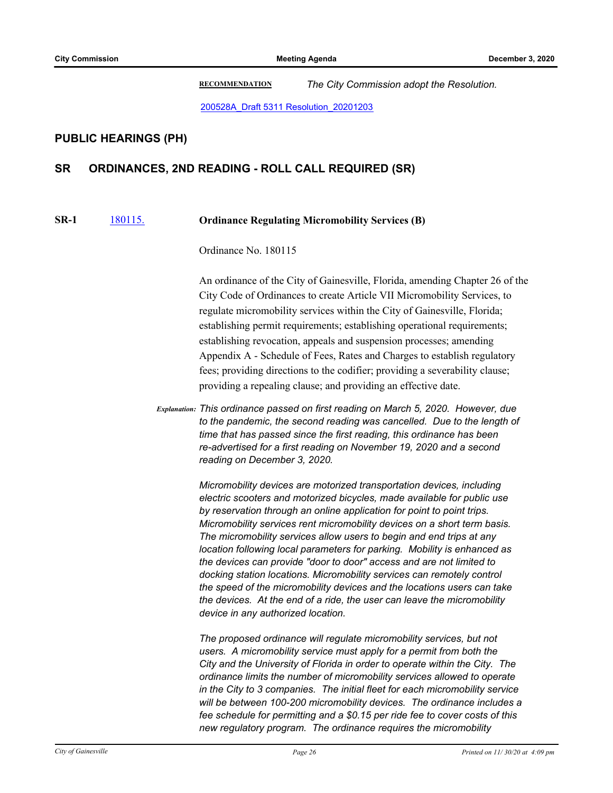**RECOMMENDATION** *The City Commission adopt the Resolution.*

[200528A\\_Draft 5311 Resolution\\_20201203](http://Gainesville.legistar.com/gateway.aspx?M=F&ID=a544f8c9-a884-4bbd-b4d8-03e4279dc887.pdf)

# **PUBLIC HEARINGS (PH)**

# **SR ORDINANCES, 2ND READING - ROLL CALL REQUIRED (SR)**

#### [180115.](http://gainesville.legistar.com/gateway.aspx?m=l&id=/matter.aspx?key=28324) **Ordinance Regulating Micromobility Services (B) SR-1**

Ordinance No. 180115

An ordinance of the City of Gainesville, Florida, amending Chapter 26 of the City Code of Ordinances to create Article VII Micromobility Services, to regulate micromobility services within the City of Gainesville, Florida; establishing permit requirements; establishing operational requirements; establishing revocation, appeals and suspension processes; amending Appendix A - Schedule of Fees, Rates and Charges to establish regulatory fees; providing directions to the codifier; providing a severability clause; providing a repealing clause; and providing an effective date.

*Explanation: This ordinance passed on first reading on March 5, 2020. However, due to the pandemic, the second reading was cancelled. Due to the length of time that has passed since the first reading, this ordinance has been re-advertised for a first reading on November 19, 2020 and a second reading on December 3, 2020.*

> *Micromobility devices are motorized transportation devices, including electric scooters and motorized bicycles, made available for public use by reservation through an online application for point to point trips. Micromobility services rent micromobility devices on a short term basis. The micromobility services allow users to begin and end trips at any location following local parameters for parking. Mobility is enhanced as the devices can provide "door to door" access and are not limited to docking station locations. Micromobility services can remotely control the speed of the micromobility devices and the locations users can take the devices. At the end of a ride, the user can leave the micromobility device in any authorized location.*

*The proposed ordinance will regulate micromobility services, but not users. A micromobility service must apply for a permit from both the City and the University of Florida in order to operate within the City. The ordinance limits the number of micromobility services allowed to operate in the City to 3 companies. The initial fleet for each micromobility service will be between 100-200 micromobility devices. The ordinance includes a fee schedule for permitting and a \$0.15 per ride fee to cover costs of this new regulatory program. The ordinance requires the micromobility*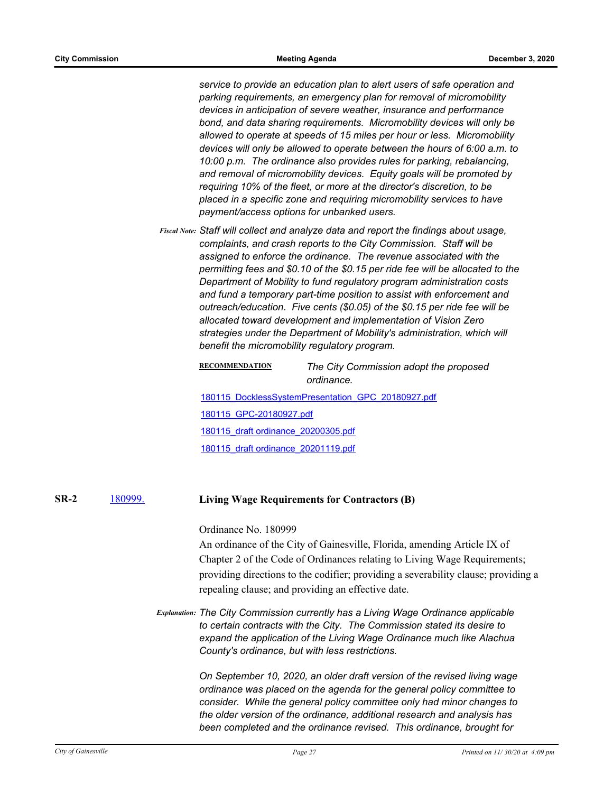*service to provide an education plan to alert users of safe operation and parking requirements, an emergency plan for removal of micromobility devices in anticipation of severe weather, insurance and performance bond, and data sharing requirements. Micromobility devices will only be allowed to operate at speeds of 15 miles per hour or less. Micromobility devices will only be allowed to operate between the hours of 6:00 a.m. to 10:00 p.m. The ordinance also provides rules for parking, rebalancing, and removal of micromobility devices. Equity goals will be promoted by requiring 10% of the fleet, or more at the director's discretion, to be placed in a specific zone and requiring micromobility services to have payment/access options for unbanked users.*

*Staff will collect and analyze data and report the findings about usage, Fiscal Note: complaints, and crash reports to the City Commission. Staff will be assigned to enforce the ordinance. The revenue associated with the permitting fees and \$0.10 of the \$0.15 per ride fee will be allocated to the Department of Mobility to fund regulatory program administration costs and fund a temporary part-time position to assist with enforcement and outreach/education. Five cents (\$0.05) of the \$0.15 per ride fee will be allocated toward development and implementation of Vision Zero strategies under the Department of Mobility's administration, which will benefit the micromobility regulatory program.*

### **RECOMMENDATION** *The City Commission adopt the proposed ordinance.*

[180115\\_DocklessSystemPresentation\\_GPC\\_20180927.pdf](http://Gainesville.legistar.com/gateway.aspx?M=F&ID=72778e45-2ffb-4e3b-b3d4-75e70be47c48.pdf) [180115\\_GPC-20180927.pdf](http://Gainesville.legistar.com/gateway.aspx?M=F&ID=17338b02-0637-48f2-ac4b-c7a90198d6a8.pdf) [180115\\_draft ordinance\\_20200305.pdf](http://Gainesville.legistar.com/gateway.aspx?M=F&ID=73e79e75-5c33-4c53-a574-27d2d4d4199d.pdf) [180115\\_draft ordinance\\_20201119.pdf](http://Gainesville.legistar.com/gateway.aspx?M=F&ID=524d70a0-0b0f-4f5a-9b43-c5eb3c135044.pdf)

#### [180999.](http://gainesville.legistar.com/gateway.aspx?m=l&id=/matter.aspx?key=30207) **Living Wage Requirements for Contractors (B) SR-2**

## Ordinance No. 180999

An ordinance of the City of Gainesville, Florida, amending Article IX of Chapter 2 of the Code of Ordinances relating to Living Wage Requirements; providing directions to the codifier; providing a severability clause; providing a repealing clause; and providing an effective date.

*Explanation: The City Commission currently has a Living Wage Ordinance applicable to certain contracts with the City. The Commission stated its desire to expand the application of the Living Wage Ordinance much like Alachua County's ordinance, but with less restrictions.* 

> *On September 10, 2020, an older draft version of the revised living wage ordinance was placed on the agenda for the general policy committee to consider. While the general policy committee only had minor changes to the older version of the ordinance, additional research and analysis has been completed and the ordinance revised. This ordinance, brought for*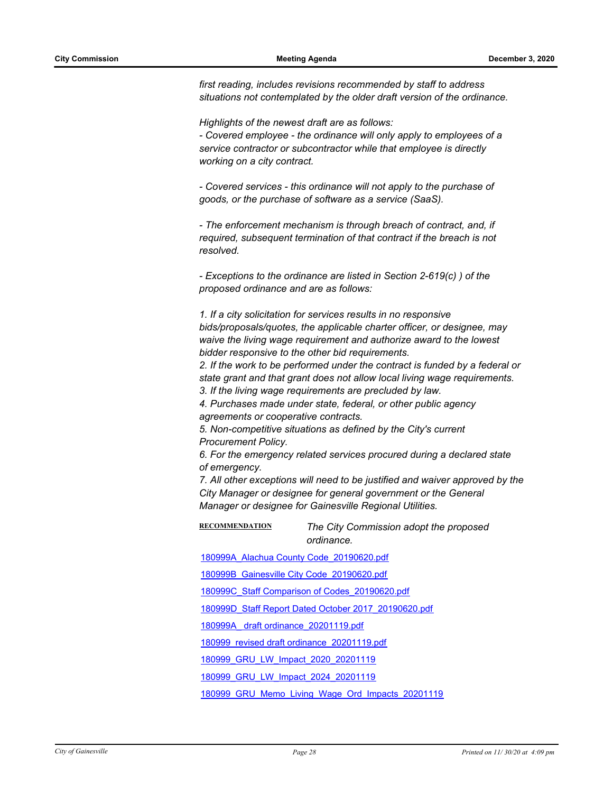*first reading, includes revisions recommended by staff to address situations not contemplated by the older draft version of the ordinance.* 

*Highlights of the newest draft are as follows:*

*- Covered employee - the ordinance will only apply to employees of a service contractor or subcontractor while that employee is directly working on a city contract.*

*- Covered services - this ordinance will not apply to the purchase of goods, or the purchase of software as a service (SaaS).*

*- The enforcement mechanism is through breach of contract, and, if required, subsequent termination of that contract if the breach is not resolved.*

*- Exceptions to the ordinance are listed in Section 2-619(c) ) of the proposed ordinance and are as follows:*

*1. If a city solicitation for services results in no responsive bids/proposals/quotes, the applicable charter officer, or designee, may waive the living wage requirement and authorize award to the lowest bidder responsive to the other bid requirements.*

*2. If the work to be performed under the contract is funded by a federal or state grant and that grant does not allow local living wage requirements. 3. If the living wage requirements are precluded by law.*

*4. Purchases made under state, federal, or other public agency agreements or cooperative contracts.*

*5. Non-competitive situations as defined by the City's current Procurement Policy.*

*6. For the emergency related services procured during a declared state of emergency.* 

*7. All other exceptions will need to be justified and waiver approved by the City Manager or designee for general government or the General Manager or designee for Gainesville Regional Utilities.*

**RECOMMENDATION** *The City Commission adopt the proposed ordinance.*

[180999A\\_Alachua County Code\\_20190620.pdf](http://Gainesville.legistar.com/gateway.aspx?M=F&ID=c751462b-6c1e-4665-bfaa-433ee34b5422.pdf)

[180999B\\_Gainesville City Code\\_20190620.pdf](http://Gainesville.legistar.com/gateway.aspx?M=F&ID=c0d57e98-6a77-4390-9151-078af0eab8a1.pdf)

[180999C\\_Staff Comparison of Codes\\_20190620.pdf](http://Gainesville.legistar.com/gateway.aspx?M=F&ID=f73a5546-333e-4a87-8caf-9ef2ef651b9a.pdf)

[180999D\\_Staff Report Dated October 2017\\_20190620.pdf](http://Gainesville.legistar.com/gateway.aspx?M=F&ID=e3f4f026-3ef3-447a-a7f5-545fbd8f348e.pdf)

[180999A\\_ draft ordinance\\_20201119.pdf](http://Gainesville.legistar.com/gateway.aspx?M=F&ID=c1bb438a-d895-4372-9466-6fefb3a5c9ca.pdf)

[180999\\_revised draft ordinance\\_20201119.pdf](http://Gainesville.legistar.com/gateway.aspx?M=F&ID=70666262-bb2b-4bc8-bca0-d8cbcaf1b0f8.pdf)

[180999\\_GRU\\_LW\\_Impact\\_2020\\_20201119](http://Gainesville.legistar.com/gateway.aspx?M=F&ID=c1c9ab02-4217-4eb9-a101-adbbeff3aefb.pdf)

[180999\\_GRU\\_LW\\_Impact\\_2024\\_20201119](http://Gainesville.legistar.com/gateway.aspx?M=F&ID=14e606f6-b46f-4836-a3b1-6c918d03e5e3.pdf)

180999 GRU\_Memo\_Living\_Wage\_Ord\_Impacts\_20201119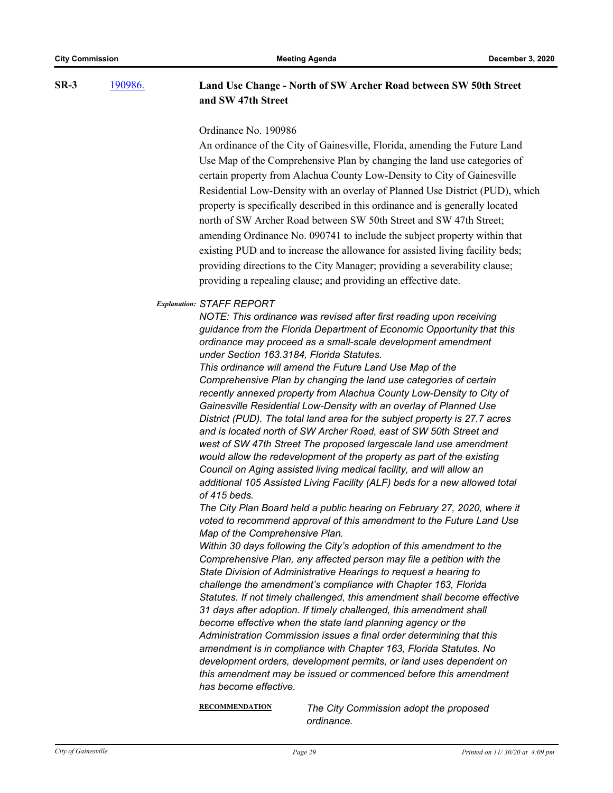[190986.](http://gainesville.legistar.com/gateway.aspx?m=l&id=/matter.aspx?key=31267) **Land Use Change - North of SW Archer Road between SW 50th Street and SW 47th Street SR-3**

### Ordinance No. 190986

An ordinance of the City of Gainesville, Florida, amending the Future Land Use Map of the Comprehensive Plan by changing the land use categories of certain property from Alachua County Low-Density to City of Gainesville Residential Low-Density with an overlay of Planned Use District (PUD), which property is specifically described in this ordinance and is generally located north of SW Archer Road between SW 50th Street and SW 47th Street; amending Ordinance No. 090741 to include the subject property within that existing PUD and to increase the allowance for assisted living facility beds; providing directions to the City Manager; providing a severability clause; providing a repealing clause; and providing an effective date.

### *Explanation: STAFF REPORT*

*NOTE: This ordinance was revised after first reading upon receiving guidance from the Florida Department of Economic Opportunity that this ordinance may proceed as a small-scale development amendment under Section 163.3184, Florida Statutes.*

*This ordinance will amend the Future Land Use Map of the Comprehensive Plan by changing the land use categories of certain recently annexed property from Alachua County Low-Density to City of Gainesville Residential Low-Density with an overlay of Planned Use District (PUD). The total land area for the subject property is 27.7 acres and is located north of SW Archer Road, east of SW 50th Street and west of SW 47th Street The proposed largescale land use amendment would allow the redevelopment of the property as part of the existing Council on Aging assisted living medical facility, and will allow an additional 105 Assisted Living Facility (ALF) beds for a new allowed total of 415 beds.*

*The City Plan Board held a public hearing on February 27, 2020, where it voted to recommend approval of this amendment to the Future Land Use Map of the Comprehensive Plan.*

*Within 30 days following the City's adoption of this amendment to the Comprehensive Plan, any affected person may file a petition with the State Division of Administrative Hearings to request a hearing to challenge the amendment's compliance with Chapter 163, Florida Statutes. If not timely challenged, this amendment shall become effective 31 days after adoption. If timely challenged, this amendment shall become effective when the state land planning agency or the Administration Commission issues a final order determining that this amendment is in compliance with Chapter 163, Florida Statutes. No development orders, development permits, or land uses dependent on this amendment may be issued or commenced before this amendment has become effective.*

**RECOMMENDATION** *The City Commission adopt the proposed ordinance.*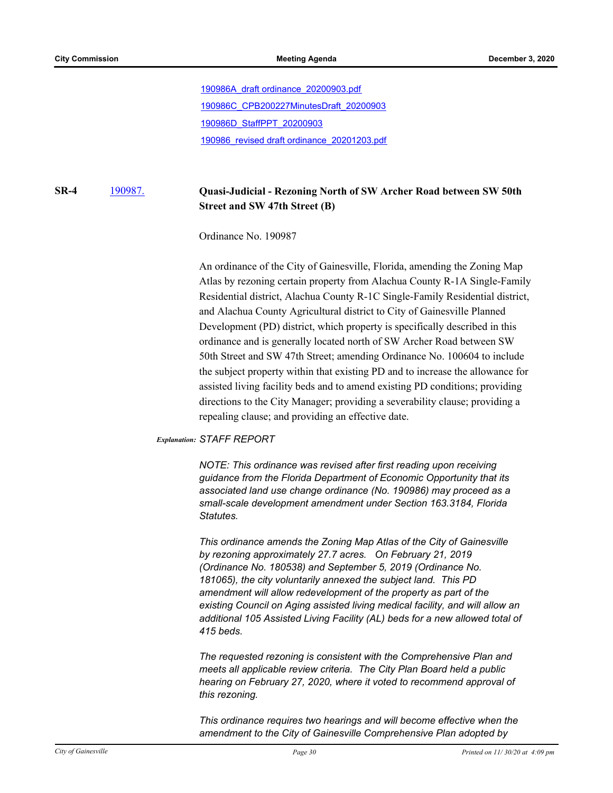[190986A\\_draft ordinance\\_20200903.pdf](http://Gainesville.legistar.com/gateway.aspx?M=F&ID=a6945a1c-d32f-4f05-a9a1-232c387c7cf1.pdf) [190986C\\_CPB200227MinutesDraft\\_20200903](http://Gainesville.legistar.com/gateway.aspx?M=F&ID=1598e359-8a0d-4f8f-bc04-4847ab9910df.pdf) [190986D\\_StaffPPT\\_20200903](http://Gainesville.legistar.com/gateway.aspx?M=F&ID=bd1fe133-0f7d-42c9-b6fb-556aa9c9efcc.pdf) [190986\\_revised draft ordinance\\_20201203.pdf](http://Gainesville.legistar.com/gateway.aspx?M=F&ID=0576ee74-a2b6-4aad-a94c-ecd3ff84f598.pdf)

#### [190987.](http://gainesville.legistar.com/gateway.aspx?m=l&id=/matter.aspx?key=31268) **Quasi-Judicial - Rezoning North of SW Archer Road between SW 50th Street and SW 47th Street (B) SR-4**

Ordinance No. 190987

An ordinance of the City of Gainesville, Florida, amending the Zoning Map Atlas by rezoning certain property from Alachua County R-1A Single-Family Residential district, Alachua County R-1C Single-Family Residential district, and Alachua County Agricultural district to City of Gainesville Planned Development (PD) district, which property is specifically described in this ordinance and is generally located north of SW Archer Road between SW 50th Street and SW 47th Street; amending Ordinance No. 100604 to include the subject property within that existing PD and to increase the allowance for assisted living facility beds and to amend existing PD conditions; providing directions to the City Manager; providing a severability clause; providing a repealing clause; and providing an effective date.

### *Explanation: STAFF REPORT*

*NOTE: This ordinance was revised after first reading upon receiving guidance from the Florida Department of Economic Opportunity that its associated land use change ordinance (No. 190986) may proceed as a small-scale development amendment under Section 163.3184, Florida Statutes.*

*This ordinance amends the Zoning Map Atlas of the City of Gainesville by rezoning approximately 27.7 acres. On February 21, 2019 (Ordinance No. 180538) and September 5, 2019 (Ordinance No. 181065), the city voluntarily annexed the subject land. This PD amendment will allow redevelopment of the property as part of the existing Council on Aging assisted living medical facility, and will allow an additional 105 Assisted Living Facility (AL) beds for a new allowed total of 415 beds.* 

*The requested rezoning is consistent with the Comprehensive Plan and meets all applicable review criteria. The City Plan Board held a public hearing on February 27, 2020, where it voted to recommend approval of this rezoning.*

*This ordinance requires two hearings and will become effective when the amendment to the City of Gainesville Comprehensive Plan adopted by*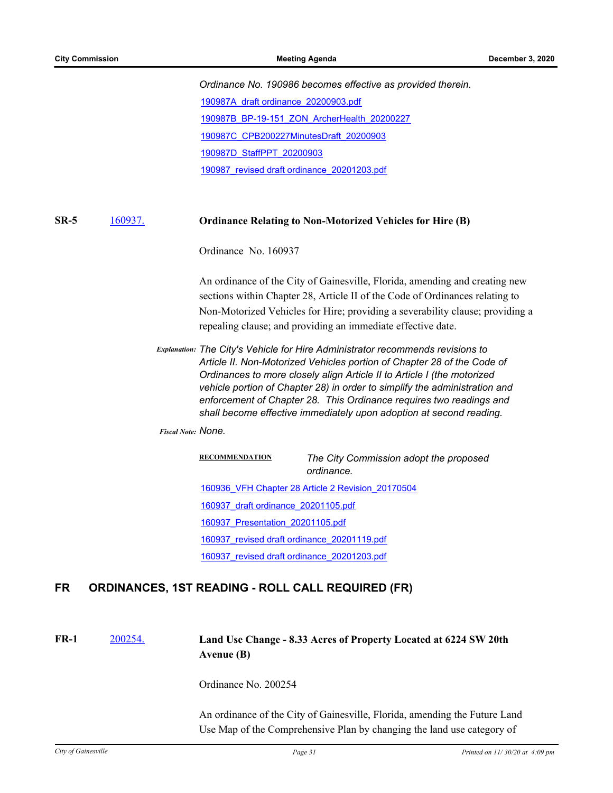*Ordinance No. 190986 becomes effective as provided therein.* [190987A\\_draft ordinance\\_20200903.pdf](http://Gainesville.legistar.com/gateway.aspx?M=F&ID=84bbc648-482b-4ca6-a422-8ececac9ad92.pdf) [190987B\\_BP-19-151\\_ZON\\_ArcherHealth\\_20200227](http://Gainesville.legistar.com/gateway.aspx?M=F&ID=3d5a7cb7-e0fe-430c-992e-4d9cdab05c82.pdf) [190987C\\_CPB200227MinutesDraft\\_20200903](http://Gainesville.legistar.com/gateway.aspx?M=F&ID=4d1acbe3-56a6-4200-8536-ea3975f793f0.pdf) [190987D\\_StaffPPT\\_20200903](http://Gainesville.legistar.com/gateway.aspx?M=F&ID=c539a89e-c71f-4fd5-b565-49824d10efb1.pdf) [190987\\_revised draft ordinance\\_20201203.pdf](http://Gainesville.legistar.com/gateway.aspx?M=F&ID=97e828fe-876e-4726-ae2e-d62730a8abb3.pdf)

#### [160937.](http://gainesville.legistar.com/gateway.aspx?m=l&id=/matter.aspx?key=27029) **Ordinance Relating to Non-Motorized Vehicles for Hire (B) SR-5**

Ordinance No. 160937

An ordinance of the City of Gainesville, Florida, amending and creating new sections within Chapter 28, Article II of the Code of Ordinances relating to Non-Motorized Vehicles for Hire; providing a severability clause; providing a repealing clause; and providing an immediate effective date.

*Explanation: The City's Vehicle for Hire Administrator recommends revisions to Article II. Non-Motorized Vehicles portion of Chapter 28 of the Code of Ordinances to more closely align Article II to Article I (the motorized vehicle portion of Chapter 28) in order to simplify the administration and enforcement of Chapter 28. This Ordinance requires two readings and shall become effective immediately upon adoption at second reading.*

*Fiscal Note: None.*

**RECOMMENDATION** *The City Commission adopt the proposed ordinance.* [160936\\_VFH Chapter 28 Article 2 Revision\\_20170504](http://Gainesville.legistar.com/gateway.aspx?M=F&ID=3176db06-40d2-4151-aa6f-b23a01de271a.pdf) [160937\\_draft ordinance\\_20201105.pdf](http://Gainesville.legistar.com/gateway.aspx?M=F&ID=16398e70-ab0b-42e4-b872-d21c97b4fe7b.pdf) [160937\\_Presentation\\_20201105.pdf](http://Gainesville.legistar.com/gateway.aspx?M=F&ID=ae881b52-184c-4faf-babb-93693341b339.pdf) [160937\\_revised draft ordinance\\_20201119.pdf](http://Gainesville.legistar.com/gateway.aspx?M=F&ID=98adb73b-f151-4ea3-baad-e9e30f66ad2c.pdf)

[160937\\_revised draft ordinance\\_20201203.pdf](http://Gainesville.legistar.com/gateway.aspx?M=F&ID=28e2959c-5a63-44da-bcbc-8e5d93e628bb.pdf)

# **FR ORDINANCES, 1ST READING - ROLL CALL REQUIRED (FR)**

#### [200254.](http://gainesville.legistar.com/gateway.aspx?m=l&id=/matter.aspx?key=31797) **Land Use Change - 8.33 Acres of Property Located at 6224 SW 20th Avenue (B) FR-1**

Ordinance No. 200254

An ordinance of the City of Gainesville, Florida, amending the Future Land Use Map of the Comprehensive Plan by changing the land use category of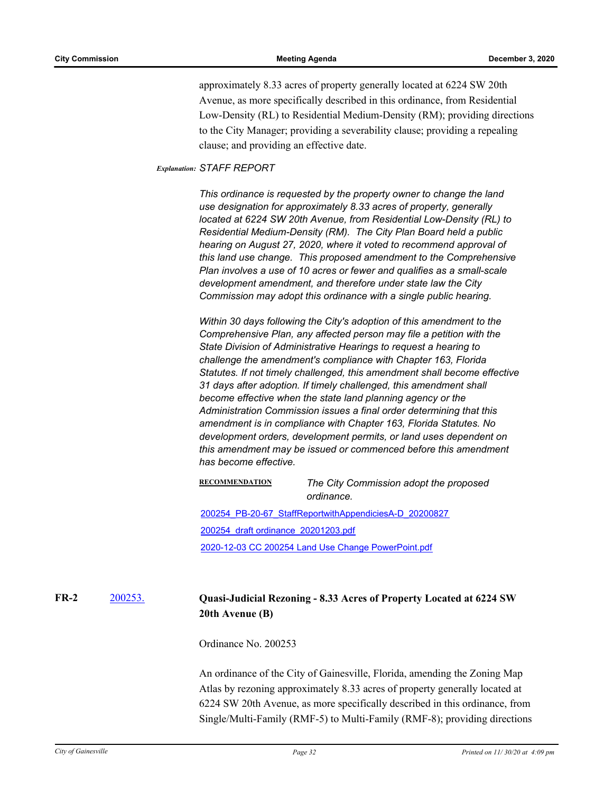approximately 8.33 acres of property generally located at 6224 SW 20th Avenue, as more specifically described in this ordinance, from Residential Low-Density (RL) to Residential Medium-Density (RM); providing directions to the City Manager; providing a severability clause; providing a repealing clause; and providing an effective date.

### *Explanation: STAFF REPORT*

*This ordinance is requested by the property owner to change the land use designation for approximately 8.33 acres of property, generally located at 6224 SW 20th Avenue, from Residential Low-Density (RL) to Residential Medium-Density (RM). The City Plan Board held a public hearing on August 27, 2020, where it voted to recommend approval of this land use change. This proposed amendment to the Comprehensive Plan involves a use of 10 acres or fewer and qualifies as a small-scale development amendment, and therefore under state law the City Commission may adopt this ordinance with a single public hearing.* 

*Within 30 days following the City's adoption of this amendment to the Comprehensive Plan, any affected person may file a petition with the State Division of Administrative Hearings to request a hearing to challenge the amendment's compliance with Chapter 163, Florida Statutes. If not timely challenged, this amendment shall become effective 31 days after adoption. If timely challenged, this amendment shall become effective when the state land planning agency or the Administration Commission issues a final order determining that this amendment is in compliance with Chapter 163, Florida Statutes. No development orders, development permits, or land uses dependent on this amendment may be issued or commenced before this amendment has become effective.*

**RECOMMENDATION** *The City Commission adopt the proposed ordinance.* [200254\\_PB-20-67\\_StaffReportwithAppendiciesA-D\\_20200827](http://Gainesville.legistar.com/gateway.aspx?M=F&ID=2663e093-1ee3-418a-8e1f-b0f16aa65d2d.pdf) [200254\\_draft ordinance\\_20201203.pdf](http://Gainesville.legistar.com/gateway.aspx?M=F&ID=3cf36ada-309b-4c6f-8d2a-b05b034fef24.pdf) [2020-12-03 CC 200254 Land Use Change PowerPoint.pdf](http://Gainesville.legistar.com/gateway.aspx?M=F&ID=4a2320ee-a0a7-4218-bad3-3091d43d1aec.pdf)

#### [200253.](http://gainesville.legistar.com/gateway.aspx?m=l&id=/matter.aspx?key=31796) **Quasi-Judicial Rezoning - 8.33 Acres of Property Located at 6224 SW 20th Avenue (B) FR-2**

Ordinance No. 200253

An ordinance of the City of Gainesville, Florida, amending the Zoning Map Atlas by rezoning approximately 8.33 acres of property generally located at 6224 SW 20th Avenue, as more specifically described in this ordinance, from Single/Multi-Family (RMF-5) to Multi-Family (RMF-8); providing directions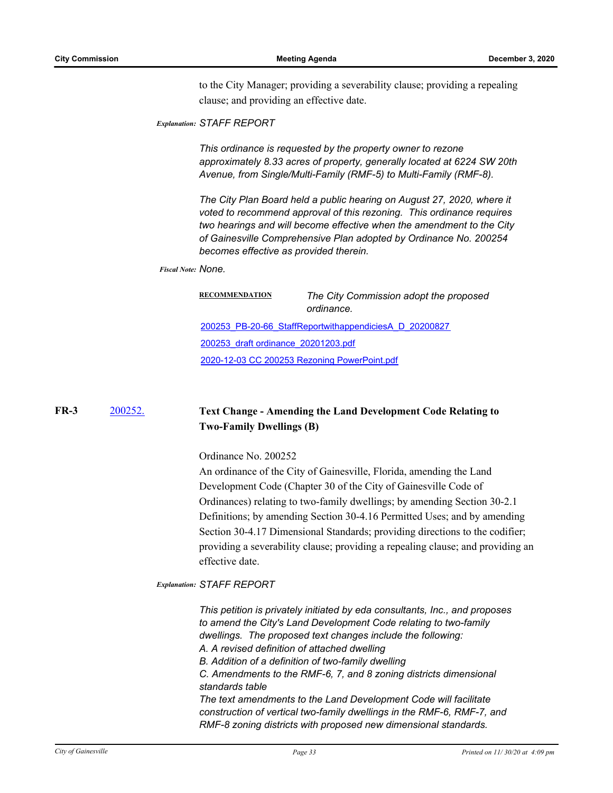to the City Manager; providing a severability clause; providing a repealing clause; and providing an effective date.

```
Explanation: STAFF REPORT
```
*This ordinance is requested by the property owner to rezone approximately 8.33 acres of property, generally located at 6224 SW 20th Avenue, from Single/Multi-Family (RMF-5) to Multi-Family (RMF-8).* 

*The City Plan Board held a public hearing on August 27, 2020, where it voted to recommend approval of this rezoning. This ordinance requires two hearings and will become effective when the amendment to the City of Gainesville Comprehensive Plan adopted by Ordinance No. 200254 becomes effective as provided therein.*

### *Fiscal Note: None.*

| <b>RECOMMENDATION</b>               | The City Commission adopt the proposed<br>ordinance.   |
|-------------------------------------|--------------------------------------------------------|
|                                     | 200253 PB-20-66 StaffReportwithappendiciesA D 20200827 |
| 200253 draft ordinance 20201203.pdf |                                                        |
|                                     | 2020-12-03 CC 200253 Rezoning PowerPoint.pdf           |
|                                     |                                                        |

#### [200252.](http://gainesville.legistar.com/gateway.aspx?m=l&id=/matter.aspx?key=31795) **Text Change - Amending the Land Development Code Relating to Two-Family Dwellings (B) FR-3**

Ordinance No. 200252

An ordinance of the City of Gainesville, Florida, amending the Land Development Code (Chapter 30 of the City of Gainesville Code of Ordinances) relating to two-family dwellings; by amending Section 30-2.1 Definitions; by amending Section 30-4.16 Permitted Uses; and by amending Section 30-4.17 Dimensional Standards; providing directions to the codifier; providing a severability clause; providing a repealing clause; and providing an effective date.

### *Explanation: STAFF REPORT*

*This petition is privately initiated by eda consultants, Inc., and proposes to amend the City's Land Development Code relating to two-family dwellings. The proposed text changes include the following: A. A revised definition of attached dwelling B. Addition of a definition of two-family dwelling C. Amendments to the RMF-6, 7, and 8 zoning districts dimensional standards table The text amendments to the Land Development Code will facilitate construction of vertical two-family dwellings in the RMF-6, RMF-7, and RMF-8 zoning districts with proposed new dimensional standards.*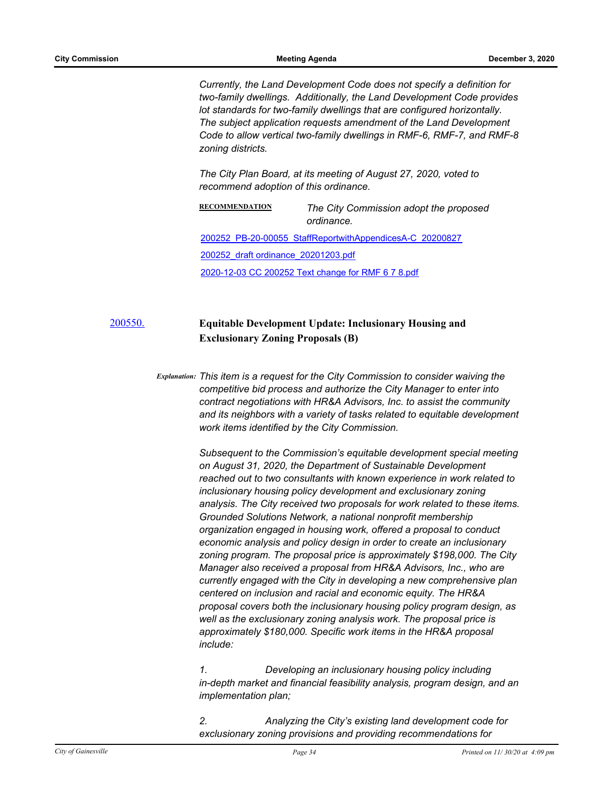*Currently, the Land Development Code does not specify a definition for two-family dwellings. Additionally, the Land Development Code provides lot standards for two-family dwellings that are configured horizontally. The subject application requests amendment of the Land Development Code to allow vertical two-family dwellings in RMF-6, RMF-7, and RMF-8 zoning districts.*

*The City Plan Board, at its meeting of August 27, 2020, voted to recommend adoption of this ordinance.*

**RECOMMENDATION** *The City Commission adopt the proposed ordinance.* [200252\\_PB-20-00055\\_StaffReportwithAppendicesA-C\\_20200827](http://Gainesville.legistar.com/gateway.aspx?M=F&ID=7ccac2ff-70ff-4ad2-97b7-050411b3f548.pdf) [200252\\_draft ordinance\\_20201203.pdf](http://Gainesville.legistar.com/gateway.aspx?M=F&ID=992c11b7-1083-4ae2-a3c3-df076f167596.pdf) [2020-12-03 CC 200252 Text change for RMF 6 7 8.pdf](http://Gainesville.legistar.com/gateway.aspx?M=F&ID=ea771761-b5a2-42a8-ba5d-5ba4db596484.pdf)

# [200550.](http://gainesville.legistar.com/gateway.aspx?m=l&id=/matter.aspx?key=32093) **Equitable Development Update: Inclusionary Housing and Exclusionary Zoning Proposals (B)**

*Explanation: This item is a request for the City Commission to consider waiving the competitive bid process and authorize the City Manager to enter into contract negotiations with HR&A Advisors, Inc. to assist the community and its neighbors with a variety of tasks related to equitable development work items identified by the City Commission.* 

> *Subsequent to the Commission's equitable development special meeting on August 31, 2020, the Department of Sustainable Development reached out to two consultants with known experience in work related to inclusionary housing policy development and exclusionary zoning analysis. The City received two proposals for work related to these items. Grounded Solutions Network, a national nonprofit membership organization engaged in housing work, offered a proposal to conduct economic analysis and policy design in order to create an inclusionary zoning program. The proposal price is approximately \$198,000. The City Manager also received a proposal from HR&A Advisors, Inc., who are currently engaged with the City in developing a new comprehensive plan centered on inclusion and racial and economic equity. The HR&A proposal covers both the inclusionary housing policy program design, as well as the exclusionary zoning analysis work. The proposal price is approximately \$180,000. Specific work items in the HR&A proposal include:*

> *1. Developing an inclusionary housing policy including in-depth market and financial feasibility analysis, program design, and an implementation plan;*

*2. Analyzing the City's existing land development code for exclusionary zoning provisions and providing recommendations for*